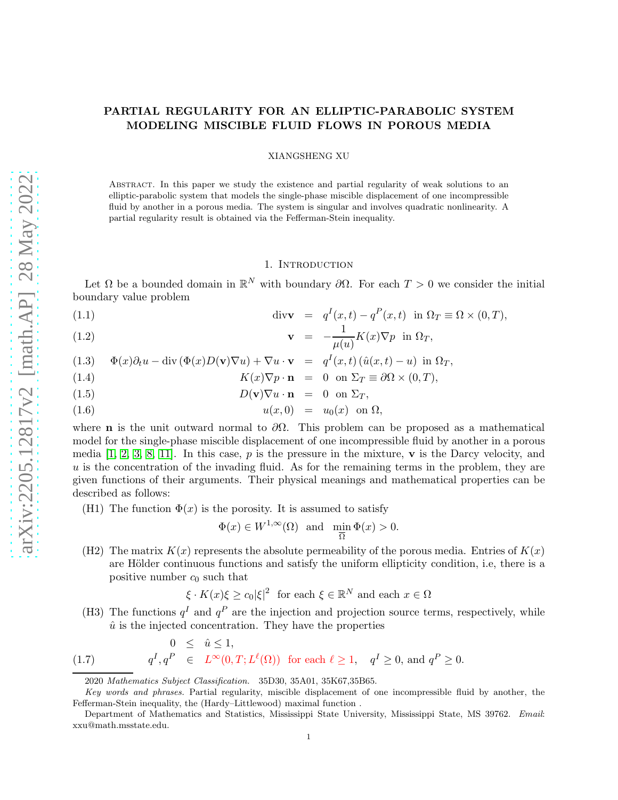# PARTIAL REGULARITY FOR AN ELLIPTIC-PARABOLIC SYSTEM MODELING MISCIBLE FLUID FLOWS IN POROUS MEDIA

### XIANGSHENG XU

Abstract. In this paper we study the existence and partial regularity of weak solutions to an elliptic-parabolic system that models the single-phase miscible displacement of one incompressible fluid by another in a porous media. The system is singular and involves quadratic nonlinearity. A partial regularity result is obtained via the Fefferman-Stein inequality.

### <span id="page-0-0"></span>1. Introduction

Let  $\Omega$  be a bounded domain in  $\mathbb{R}^N$  with boundary  $\partial\Omega$ . For each  $T>0$  we consider the initial boundary value problem

(1.1) 
$$
\operatorname{div} \mathbf{v} = q^I(x,t) - q^P(x,t) \text{ in } \Omega_T \equiv \Omega \times (0,T),
$$

(1.2) 
$$
\mathbf{v} = -\frac{1}{\mu(u)} K(x) \nabla p \text{ in } \Omega_T,
$$

(1.3) 
$$
\Phi(x)\partial_t u - \text{div}(\Phi(x)D(\mathbf{v})\nabla u) + \nabla u \cdot \mathbf{v} = q^I(x,t)(\hat{u}(x,t) - u) \text{ in } \Omega_T,
$$

(1.4) 
$$
K(x)\nabla p \cdot \mathbf{n} = 0 \text{ on } \Sigma_T \equiv \partial\Omega \times (0,T),
$$

(1.5) 
$$
D(\mathbf{v})\nabla u \cdot \mathbf{n} = 0 \text{ on } \Sigma_T,
$$

$$
(1.6) \t\t u(x,0) = u_0(x) \t on \t\Omega,
$$

where **n** is the unit outward normal to  $\partial\Omega$ . This problem can be proposed as a mathematical model for the single-phase miscible displacement of one incompressible fluid by another in a porous media  $[1, 2, 3, 8, 11]$  $[1, 2, 3, 8, 11]$  $[1, 2, 3, 8, 11]$  $[1, 2, 3, 8, 11]$  $[1, 2, 3, 8, 11]$ . In this case, p is the pressure in the mixture, v is the Darcy velocity, and  $u$  is the concentration of the invading fluid. As for the remaining terms in the problem, they are given functions of their arguments. Their physical meanings and mathematical properties can be described as follows:

(H1) The function  $\Phi(x)$  is the porosity. It is assumed to satisfy

$$
\Phi(x) \in W^{1,\infty}(\Omega)
$$
 and  $\min_{\overline{\Omega}} \Phi(x) > 0$ .

(H2) The matrix  $K(x)$  represents the absolute permeability of the porous media. Entries of  $K(x)$ are Hölder continuous functions and satisfy the uniform ellipticity condition, i.e, there is a positive number  $c_0$  such that

<span id="page-0-1"></span>
$$
\xi \cdot K(x)\xi \ge c_0|\xi|^2
$$
 for each  $\xi \in \mathbb{R}^N$  and each  $x \in \Omega$ 

(H3) The functions  $q<sup>I</sup>$  and  $q<sup>P</sup>$  are the injection and projection source terms, respectively, while  $\hat{u}$  is the injected concentration. They have the properties

(1.7) 
$$
0 \leq \hat{u} \leq 1,
$$
  
\n
$$
q^I, q^P \in L^{\infty}(0, T; L^{\ell}(\Omega)) \text{ for each } \ell \geq 1, \quad q^I \geq 0, \text{ and } q^P \geq 0.
$$

<sup>2020</sup> Mathematics Subject Classification. 35D30, 35A01, 35K67,35B65.

Key words and phrases. Partial regularity, miscible displacement of one incompressible fluid by another, the Fefferman-Stein inequality, the (Hardy–Littlewood) maximal function .

Department of Mathematics and Statistics, Mississippi State University, Mississippi State, MS 39762. Email: xxu@math.msstate.edu.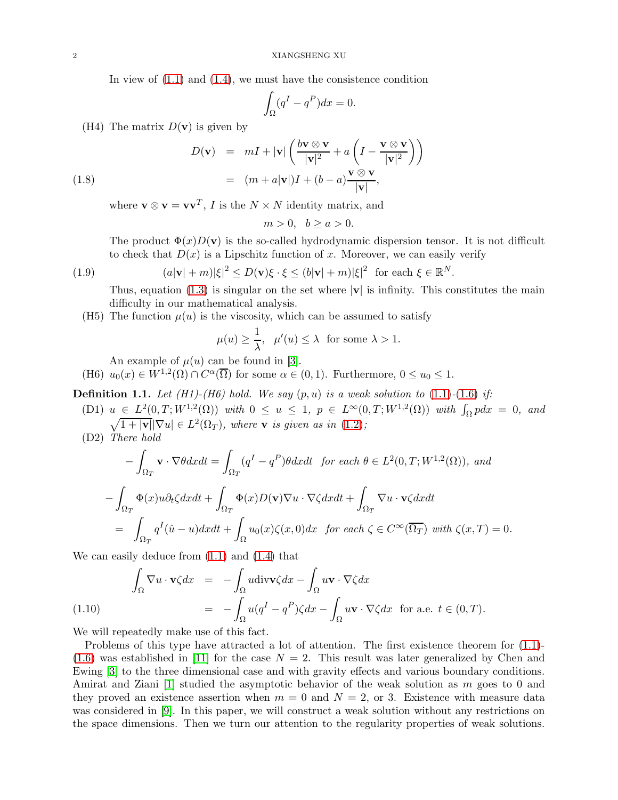In view of  $(1.1)$  and  $(1.4)$ , we must have the consistence condition

<span id="page-1-2"></span>
$$
\int_{\Omega} (q^I - q^P) dx = 0.
$$

(H4) The matrix  $D(\mathbf{v})$  is given by

(1.8)  
\n
$$
D(\mathbf{v}) = mI + |\mathbf{v}| \left( \frac{b\mathbf{v} \otimes \mathbf{v}}{|\mathbf{v}|^2} + a \left( I - \frac{\mathbf{v} \otimes \mathbf{v}}{|\mathbf{v}|^2} \right) \right)
$$
\n
$$
= (m + a|\mathbf{v}|)I + (b - a)\frac{\mathbf{v} \otimes \mathbf{v}}{|\mathbf{v}|},
$$

where  $\mathbf{v} \otimes \mathbf{v} = \mathbf{v}\mathbf{v}^T$ , *I* is the  $N \times N$  identity matrix, and

 $m > 0, \, b > a > 0.$ 

The product  $\Phi(x)D(v)$  is the so-called hydrodynamic dispersion tensor. It is not difficult to check that  $D(x)$  is a Lipschitz function of x. Moreover, we can easily verify

(1.9) 
$$
(a|\mathbf{v}| + m)|\xi|^2 \le D(\mathbf{v})\xi \cdot \xi \le (b|\mathbf{v}| + m)|\xi|^2 \text{ for each } \xi \in \mathbb{R}^N.
$$

<span id="page-1-1"></span>Thus, equation [\(1.3\)](#page-0-0) is singular on the set where  $|\mathbf{v}|$  is infinity. This constitutes the main difficulty in our mathematical analysis.

(H5) The function  $\mu(u)$  is the viscosity, which can be assumed to satisfy

$$
\mu(u) \ge \frac{1}{\lambda}, \quad \mu'(u) \le \lambda \text{ for some } \lambda > 1.
$$

An example of  $\mu(u)$  can be found in [\[3\]](#page-20-2).

(H6)  $u_0(x) \in W^{1,2}(\Omega) \cap C^{\alpha}(\overline{\Omega})$  for some  $\alpha \in (0,1)$ . Furthermore,  $0 \le u_0 \le 1$ .

**Definition 1.1.** Let  $(H1)-(H6)$  hold. We say  $(p, u)$  is a weak solution to  $(1.1)-(1.6)$  $(1.1)-(1.6)$  $(1.1)-(1.6)$  if:

- $(D1)$   $u \in L^2(0,T;W^{1,2}(\Omega))$  with  $0 \le u \le 1$ ,  $p \in L^{\infty}(0,T;W^{1,2}(\Omega))$  with  $\int_{\Omega} p dx = 0$ , and  $\sqrt{1+|{\bf v}|}\nabla u \in L^2(\Omega_T)$ , where **v** is given as in [\(1.2\)](#page-0-0);
- (D2) *There hold*

$$
-\int_{\Omega_T} \mathbf{v} \cdot \nabla \theta dx dt = \int_{\Omega_T} (q^I - q^P) \theta dx dt \text{ for each } \theta \in L^2(0, T; W^{1,2}(\Omega)), \text{ and}
$$

$$
-\int_{\Omega_T} \Phi(x) u \partial_t \zeta dx dt + \int_{\Omega_T} \Phi(x) D(\mathbf{v}) \nabla u \cdot \nabla \zeta dx dt + \int_{\Omega_T} \nabla u \cdot \mathbf{v} \zeta dx dt
$$

$$
= \int_{\Omega_T} q^I(\hat{u} - u) dx dt + \int_{\Omega} u_0(x) \zeta(x, 0) dx \text{ for each } \zeta \in C^\infty(\overline{\Omega_T}) \text{ with } \zeta(x, T) = 0.
$$

We can easily deduce from [\(1.1\)](#page-0-0) and [\(1.4\)](#page-0-0) that

<span id="page-1-0"></span>
$$
\int_{\Omega} \nabla u \cdot \mathbf{v} \zeta dx = -\int_{\Omega} u \text{div}\mathbf{v} \zeta dx - \int_{\Omega} u \mathbf{v} \cdot \nabla \zeta dx
$$
\n
$$
= -\int_{\Omega} u(q^I - q^P) \zeta dx - \int_{\Omega} u \mathbf{v} \cdot \nabla \zeta dx \text{ for a.e. } t \in (0, T).
$$

We will repeatedly make use of this fact.

Problems of this type have attracted a lot of attention. The first existence theorem for  $(1.1)$ - $(1.6)$  was established in [\[11\]](#page-20-4) for the case  $N = 2$ . This result was later generalized by Chen and Ewing [\[3\]](#page-20-2) to the three dimensional case and with gravity effects and various boundary conditions. Amirat and Ziani [\[1\]](#page-20-0) studied the asymptotic behavior of the weak solution as m goes to 0 and they proved an existence assertion when  $m = 0$  and  $N = 2$ , or 3. Existence with measure data was considered in [\[9\]](#page-20-5). In this paper, we will construct a weak solution without any restrictions on the space dimensions. Then we turn our attention to the regularity properties of weak solutions.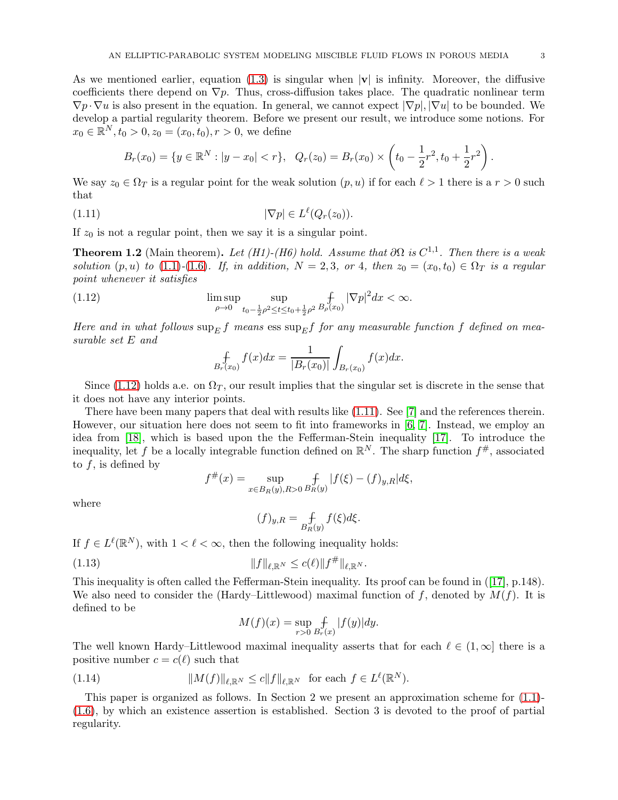As we mentioned earlier, equation [\(1.3\)](#page-0-0) is singular when  $|\mathbf{v}|$  is infinity. Moreover, the diffusive coefficients there depend on  $\nabla p$ . Thus, cross-diffusion takes place. The quadratic nonlinear term  $\nabla p \cdot \nabla u$  is also present in the equation. In general, we cannot expect  $|\nabla p|, |\nabla u|$  to be bounded. We develop a partial regularity theorem. Before we present our result, we introduce some notions. For  $x_0 \in \mathbb{R}^N, t_0 > 0, z_0 = (x_0, t_0), r > 0$ , we define

$$
B_r(x_0) = \{y \in \mathbb{R}^N : |y - x_0| < r\}, \quad Q_r(z_0) = B_r(x_0) \times \left(t_0 - \frac{1}{2}r^2, t_0 + \frac{1}{2}r^2\right).
$$

We say  $z_0 \in \Omega_T$  is a regular point for the weak solution  $(p, u)$  if for each  $\ell > 1$  there is a  $r > 0$  such that

$$
(1.11) \t |\nabla p| \in L^{\ell}(Q_r(z_0)).
$$

If  $z_0$  is not a regular point, then we say it is a singular point.

**Theorem 1.2** (Main theorem). Let (H1)-(H6) hold. Assume that  $\partial\Omega$  is  $C^{1,1}$ . Then there is a weak *solution*  $(p, u)$  *to* [\(1.1\)](#page-0-0)*-*[\(1.6\)](#page-0-0)*.* If, in addition,  $N = 2, 3$ , or 4, then  $z_0 = (x_0, t_0) \in \Omega_T$  *is a regular point whenever it satisfies*

(1.12) 
$$
\limsup_{\rho \to 0} \sup_{t_0 - \frac{1}{2}\rho^2 \le t \le t_0 + \frac{1}{2}\rho^2} \mathop{f}_{B_{\rho}(x_0)} |\nabla p|^2 dx < \infty.
$$

*Here and in what follows*  $\sup_E f$  *means* ess  $\sup_E f$  *for any measurable function* f *defined on measurable set* E *and*

<span id="page-2-1"></span><span id="page-2-0"></span>
$$
\oint_{B_r(x_0)} f(x)dx = \frac{1}{|B_r(x_0)|} \int_{B_r(x_0)} f(x)dx.
$$

Since [\(1.12\)](#page-2-0) holds a.e. on  $\Omega_T$ , our result implies that the singular set is discrete in the sense that it does not have any interior points.

There have been many papers that deal with results like [\(1.11\)](#page-2-1). See [\[7\]](#page-20-6) and the references therein. However, our situation here does not seem to fit into frameworks in [\[6,](#page-20-7) [7\]](#page-20-6). Instead, we employ an idea from [\[18\]](#page-20-8), which is based upon the the Fefferman-Stein inequality [\[17\]](#page-20-9). To introduce the inequality, let f be a locally integrable function defined on  $\mathbb{R}^N$ . The sharp function  $f^{\#}$ , associated to  $f$ , is defined by

$$
f^{\#}(x) = \sup_{x \in B_R(y), R > 0} \mathop{\text{f}}_{R(y)} |f(\xi) - (f)_{y,R}| d\xi,
$$

where

<span id="page-2-2"></span>
$$
(f)_{y,R} = \mathop{f}_{B_R(y)} f(\xi) d\xi.
$$

If  $f \in L^{\ell}(\mathbb{R}^N)$ , with  $1 < \ell < \infty$ , then the following inequality holds:

(1.13) 
$$
||f||_{\ell, \mathbb{R}^N} \leq c(\ell) ||f^{\#}||_{\ell, \mathbb{R}^N}.
$$

This inequality is often called the Fefferman-Stein inequality. Its proof can be found in ([\[17\]](#page-20-9), p.148). We also need to consider the (Hardy–Littlewood) maximal function of f, denoted by  $M(f)$ . It is defined to be

<span id="page-2-3"></span>
$$
M(f)(x) = \sup_{r>0} \int_{B_r(x)} |f(y)| dy.
$$

The well known Hardy–Littlewood maximal inequality asserts that for each  $\ell \in (1,\infty]$  there is a positive number  $c = c(\ell)$  such that

(1.14) 
$$
||M(f)||_{\ell, \mathbb{R}^N} \leq c||f||_{\ell, \mathbb{R}^N} \text{ for each } f \in L^{\ell}(\mathbb{R}^N).
$$

This paper is organized as follows. In Section 2 we present an approximation scheme for [\(1.1\)](#page-0-0)- [\(1.6\)](#page-0-0), by which an existence assertion is established. Section 3 is devoted to the proof of partial regularity.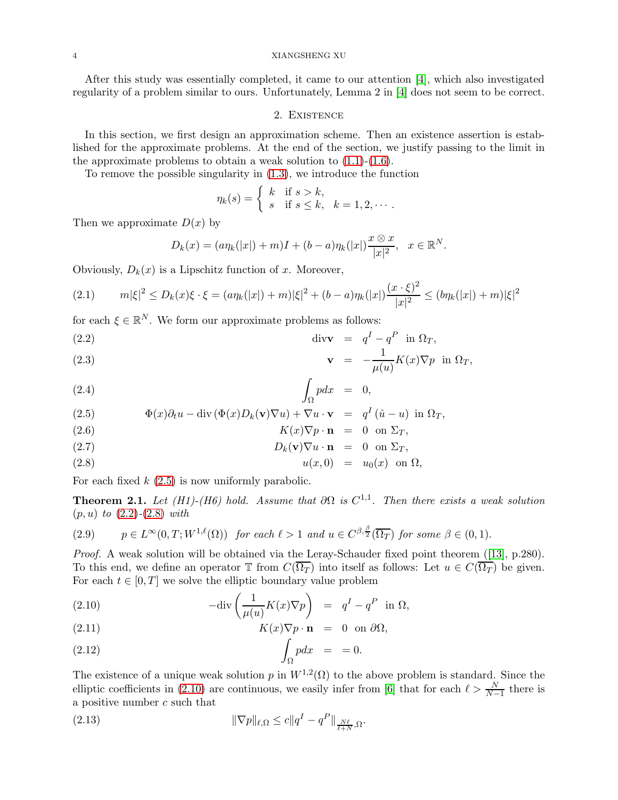After this study was essentially completed, it came to our attention [\[4\]](#page-20-10), which also investigated regularity of a problem similar to ours. Unfortunately, Lemma 2 in [\[4\]](#page-20-10) does not seem to be correct.

### 2. Existence

In this section, we first design an approximation scheme. Then an existence assertion is established for the approximate problems. At the end of the section, we justify passing to the limit in the approximate problems to obtain a weak solution to  $(1.1)-(1.6)$  $(1.1)-(1.6)$ .

To remove the possible singularity in [\(1.3\)](#page-0-0), we introduce the function

$$
\eta_k(s) = \begin{cases} k & \text{if } s > k, \\ s & \text{if } s \leq k, \end{cases} k = 1, 2, \cdots.
$$

Then we approximate  $D(x)$  by

<span id="page-3-0"></span>
$$
D_k(x) = (a\eta_k(|x|) + m)I + (b - a)\eta_k(|x|)\frac{x \otimes x}{|x|^2}, \quad x \in \mathbb{R}^N.
$$

Obviously,  $D_k(x)$  is a Lipschitz function of x. Moreover,

$$
(2.1) \t m|\xi|^2 \le D_k(x)\xi \cdot \xi = (a\eta_k(|x|) + m)|\xi|^2 + (b - a)\eta_k(|x|)\frac{(x \cdot \xi)^2}{|x|^2} \le (b\eta_k(|x|) + m)|\xi|^2
$$

for each  $\xi \in \mathbb{R}^N$ . We form our approximate problems as follows:

(2.2) 
$$
\operatorname{div} \mathbf{v} = q^I - q^P \text{ in } \Omega_T,
$$

(2.3) 
$$
\mathbf{v} = -\frac{1}{\mu(u)} K(x) \nabla p \text{ in } \Omega_T,
$$

$$
\int_{\Omega} p dx = 0,
$$

(2.5) 
$$
\Phi(x)\partial_t u - \text{div}(\Phi(x)D_k(\mathbf{v})\nabla u) + \nabla u \cdot \mathbf{v} = q^I(\hat{u} - u) \text{ in } \Omega_T,
$$

(2.6) 
$$
K(x)\nabla p \cdot \mathbf{n} = 0 \text{ on } \Sigma_T,
$$

(2.7) 
$$
D_k(\mathbf{v})\nabla u \cdot \mathbf{n} = 0 \text{ on } \Sigma_T,
$$

$$
(2.8) \t u(x,0) = u_0(x) \t on \t \Omega,
$$

For each fixed  $k$  [\(2.5\)](#page-3-0) is now uniformly parabolic.

<span id="page-3-3"></span>**Theorem 2.1.** Let (H1)-(H6) hold. Assume that  $\partial\Omega$  is  $C^{1,1}$ . Then there exists a weak solution (p, u) *to* [\(2.2\)](#page-3-0)*-*[\(2.8\)](#page-3-0) *with*

(2.9) 
$$
p \in L^{\infty}(0,T;W^{1,\ell}(\Omega))
$$
 for each  $\ell > 1$  and  $u \in C^{\beta,\frac{\beta}{2}}(\overline{\Omega_T})$  for some  $\beta \in (0,1)$ .

*Proof.* A weak solution will be obtained via the Leray-Schauder fixed point theorem ([\[13\]](#page-20-11), p.280). To this end, we define an operator  $\mathbb T$  from  $C(\overline{\Omega_T})$  into itself as follows: Let  $u \in C(\overline{\Omega_T})$  be given. For each  $t \in [0, T]$  we solve the elliptic boundary value problem

<span id="page-3-1"></span>(2.10) 
$$
-\text{div}\left(\frac{1}{\mu(u)}K(x)\nabla p\right) = q^I - q^P \text{ in } \Omega,
$$

(2.11) 
$$
K(x)\nabla p \cdot \mathbf{n} = 0 \text{ on } \partial \Omega,
$$

$$
\int_{\Omega} p dx = 0.
$$

The existence of a unique weak solution p in  $W^{1,2}(\Omega)$  to the above problem is standard. Since the elliptic coefficients in [\(2.10\)](#page-3-1) are continuous, we easily infer from [\[6\]](#page-20-7) that for each  $\ell > \frac{N}{N-1}$  there is a positive number c such that

<span id="page-3-2"></span>(2.13) 
$$
\|\nabla p\|_{\ell,\Omega} \leq c \|q^I - q^P\|_{\frac{N\ell}{\ell+N},\Omega}.
$$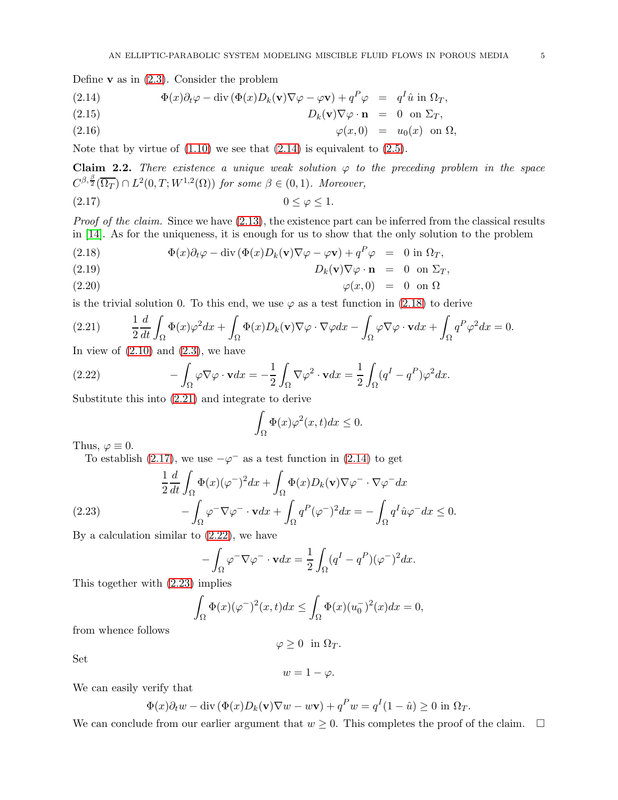Define  $\bf{v}$  as in [\(2.3\)](#page-3-0). Consider the problem

<span id="page-4-0"></span>(2.14) 
$$
\Phi(x)\partial_t\varphi - \text{div}(\Phi(x)D_k(\mathbf{v})\nabla\varphi - \varphi\mathbf{v}) + q^P\varphi = q^I\hat{u} \text{ in } \Omega_T,
$$

(2.15) 
$$
D_k(\mathbf{v})\nabla\varphi\cdot\mathbf{n} = 0 \text{ on } \Sigma_T,
$$

$$
\varphi(x,0) = u_0(x) \text{ on } \Omega
$$

Note that by virtue of  $(1.10)$  we see that  $(2.14)$  is equivalent to  $(2.5)$ .

<span id="page-4-6"></span>**Claim 2.2.** *There existence a unique weak solution*  $\varphi$  *to the preceding problem in the space*  $C^{\beta,\frac{\beta}{2}}(\overline{\Omega_T}) \cap L^2(0,T;W^{1,2}(\Omega))$  for some  $\beta \in (0,1)$ *. Moreover*,

<span id="page-4-3"></span>
$$
(2.17) \t\t 0 \le \varphi \le 1.
$$

*Proof of the claim.* Since we have  $(2.13)$ , the existence part can be inferred from the classical results in [\[14\]](#page-20-12). As for the uniqueness, it is enough for us to show that the only solution to the problem

<span id="page-4-1"></span>(2.18) 
$$
\Phi(x)\partial_t\varphi - \mathrm{div}(\Phi(x)D_k(\mathbf{v})\nabla\varphi - \varphi\mathbf{v}) + q^P\varphi = 0 \text{ in } \Omega_T,
$$

(2.19) 
$$
D_k(\mathbf{v}) \nabla \varphi \cdot \mathbf{n} = 0 \text{ on } \Sigma_T,
$$

$$
\varphi(x,0) = 0 \text{ on } \Omega
$$

is the trivial solution 0. To this end, we use  $\varphi$  as a test function in [\(2.18\)](#page-4-1) to derive

<span id="page-4-2"></span>(2.21) 
$$
\frac{1}{2}\frac{d}{dt}\int_{\Omega}\Phi(x)\varphi^{2}dx+\int_{\Omega}\Phi(x)D_{k}(\mathbf{v})\nabla\varphi\cdot\nabla\varphi dx-\int_{\Omega}\varphi\nabla\varphi\cdot\mathbf{v}dx+\int_{\Omega}q^{P}\varphi^{2}dx=0.
$$

In view of  $(2.10)$  and  $(2.3)$ , we have

<span id="page-4-4"></span>(2.22) 
$$
-\int_{\Omega} \varphi \nabla \varphi \cdot \mathbf{v} dx = -\frac{1}{2} \int_{\Omega} \nabla \varphi^2 \cdot \mathbf{v} dx = \frac{1}{2} \int_{\Omega} (q^I - q^P) \varphi^2 dx.
$$

Substitute this into [\(2.21\)](#page-4-2) and integrate to derive

$$
\int_{\Omega} \Phi(x)\varphi^2(x,t)dx \le 0.
$$

Thus,  $\varphi \equiv 0$ .

<span id="page-4-5"></span>To establish [\(2.17\)](#page-4-3), we use  $-\varphi^-$  as a test function in [\(2.14\)](#page-4-0) to get

$$
\frac{1}{2}\frac{d}{dt}\int_{\Omega}\Phi(x)(\varphi^{-})^{2}dx + \int_{\Omega}\Phi(x)D_{k}(\mathbf{v})\nabla\varphi^{-}\cdot\nabla\varphi^{-}dx
$$
\n(2.23)\n
$$
-\int_{\Omega}\varphi^{-}\nabla\varphi^{-}\cdot\mathbf{v}dx + \int_{\Omega}q^{P}(\varphi^{-})^{2}dx = -\int_{\Omega}q^{I}\hat{u}\varphi^{-}dx \leq 0.
$$

By a calculation similar to [\(2.22\)](#page-4-4), we have

$$
-\int_{\Omega} \varphi^{-} \nabla \varphi^{-} \cdot \mathbf{v} dx = \frac{1}{2} \int_{\Omega} (q^{I} - q^{P})(\varphi^{-})^{2} dx.
$$

This together with [\(2.23\)](#page-4-5) implies

$$
\int_{\Omega} \Phi(x) (\varphi^{-})^{2} (x, t) dx \leq \int_{\Omega} \Phi(x) (u_{0}^{-})^{2} (x) dx = 0,
$$

from whence follows

$$
\varphi \ge 0 \quad \text{in } \Omega_T.
$$

Set

$$
w=1-\varphi.
$$

We can easily verify that

$$
\Phi(x)\partial_t w - \operatorname{div}\left(\Phi(x)D_k(\mathbf{v})\nabla w - w\mathbf{v}\right) + q^P w = q^I(1 - \hat{u}) \ge 0 \text{ in } \Omega_T.
$$

We can conclude from our earlier argument that  $w \geq 0$ . This completes the proof of the claim.  $\Box$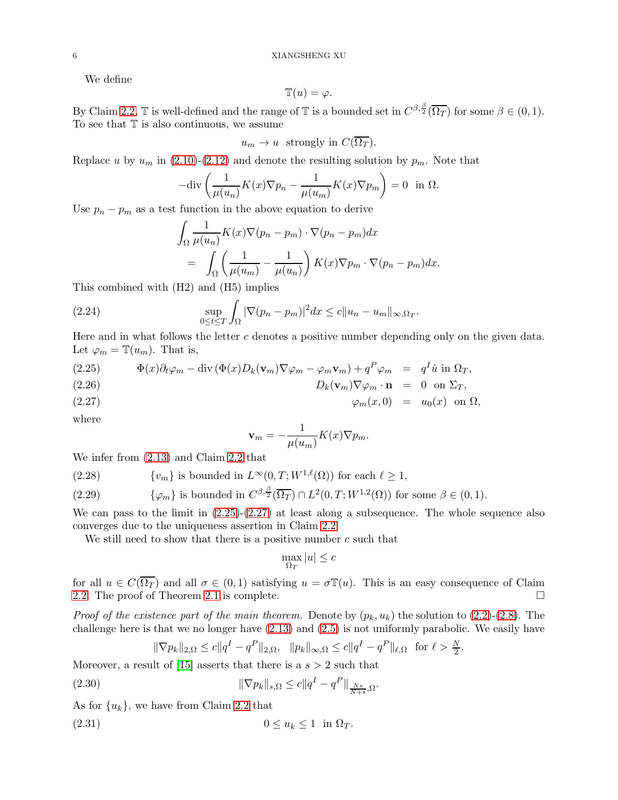We define

$$
\mathbb{T}(u) = \varphi.
$$

By Claim [2.2,](#page-4-6)  $\mathbb{T}$  is well-defined and the range of  $\mathbb{T}$  is a bounded set in  $C^{\beta, \frac{\beta}{2}}(\overline{\Omega_T})$  for some  $\beta \in (0, 1)$ . To see that  $T$  is also continuous, we assume

$$
u_m \to u
$$
 strongly in  $C(\Omega_T)$ .

Replace u by  $u_m$  in [\(2.10\)](#page-3-1)-[\(2.12\)](#page-3-1) and denote the resulting solution by  $p_m$ . Note that

$$
-\text{div}\left(\frac{1}{\mu(u_n)}K(x)\nabla p_n - \frac{1}{\mu(u_m)}K(x)\nabla p_m\right) = 0 \text{ in } \Omega.
$$

Use  $p_n - p_m$  as a test function in the above equation to derive

<span id="page-5-3"></span>
$$
\int_{\Omega} \frac{1}{\mu(u_n)} K(x) \nabla (p_n - p_m) \cdot \nabla (p_n - p_m) dx
$$
  
= 
$$
\int_{\Omega} \left( \frac{1}{\mu(u_m)} - \frac{1}{\mu(u_n)} \right) K(x) \nabla p_m \cdot \nabla (p_n - p_m) dx.
$$

This combined with (H2) and (H5) implies

(2.24) 
$$
\sup_{0 \le t \le T} \int_{\Omega} |\nabla (p_n - p_m)|^2 dx \le c \|u_n - u_m\|_{\infty, \Omega_T}.
$$

Here and in what follows the letter  $c$  denotes a positive number depending only on the given data. Let  $\varphi_m = \mathbb{T}(u_m)$ . That is,

<span id="page-5-0"></span>(2.25) 
$$
\Phi(x)\partial_t\varphi_m - \text{div}(\Phi(x)D_k(\mathbf{v}_m)\nabla\varphi_m - \varphi_m\mathbf{v}_m) + q^P\varphi_m = q^I\hat{u} \text{ in } \Omega_T,
$$

(2.26) 
$$
D_k(\mathbf{v}_m)\nabla\varphi_m \cdot \mathbf{n} = 0 \text{ on } \Sigma_T,
$$

$$
\varphi_m(x,0) = u_0(x) \text{ on } \Omega,
$$

where

$$
\mathbf{v}_m = -\frac{1}{\mu(u_m)}K(x)\nabla p_m.
$$

We infer from [\(2.13\)](#page-3-2) and Claim [2.2](#page-4-6) that

(2.28)  ${v_m}$  is bounded in  $L^{\infty}(0,T;W^{1,\ell}(\Omega))$  for each  $\ell \geq 1$ ,

(2.29) 
$$
\{\varphi_m\} \text{ is bounded in } C^{\beta,\frac{\beta}{2}}(\overline{\Omega_T}) \cap L^2(0,T;W^{1,2}(\Omega)) \text{ for some } \beta \in (0,1).
$$

We can pass to the limit in  $(2.25)-(2.27)$  $(2.25)-(2.27)$  at least along a subsequence. The whole sequence also converges due to the uniqueness assertion in Claim [2.2.](#page-4-6)

We still need to show that there is a positive number  $c$  such that

$$
\max_{\Omega_T} |u| \le c
$$

for all  $u \in C(\overline{\Omega_T})$  and all  $\sigma \in (0,1)$  satisfying  $u = \sigma \mathbb{T}(u)$ . This is an easy consequence of Claim 2.2. The proof of Theorem 2.1 is complete. [2.2.](#page-4-6) The proof of Theorem [2.1](#page-3-3) is complete.

*Proof of the existence part of the main theorem.* Denote by  $(p_k, u_k)$  the solution to  $(2.2)$ - $(2.8)$ . The challenge here is that we no longer have [\(2.13\)](#page-3-2) and [\(2.5\)](#page-3-0) is not uniformly parabolic. We easily have

<span id="page-5-2"></span><span id="page-5-1"></span>
$$
\|\nabla p_k\|_{2,\Omega} \le c \|q^I - q^P\|_{2,\Omega}, \quad \|p_k\|_{\infty,\Omega} \le c \|q^I - q^P\|_{\ell,\Omega} \text{ for } \ell > \frac{N}{2}
$$

.

Moreover, a result of [\[15\]](#page-20-13) asserts that there is a  $s > 2$  such that

(2.30) 
$$
\|\nabla p_k\|_{s,\Omega} \le c \|q^I - q^P\|_{\frac{Ns}{N+s},\Omega}.
$$

As for  $\{u_k\}$ , we have from Claim [2.2](#page-4-6) that

$$
(2.31) \t\t\t 0 \le u_k \le 1 \t\t \text{in} \ \Omega_T.
$$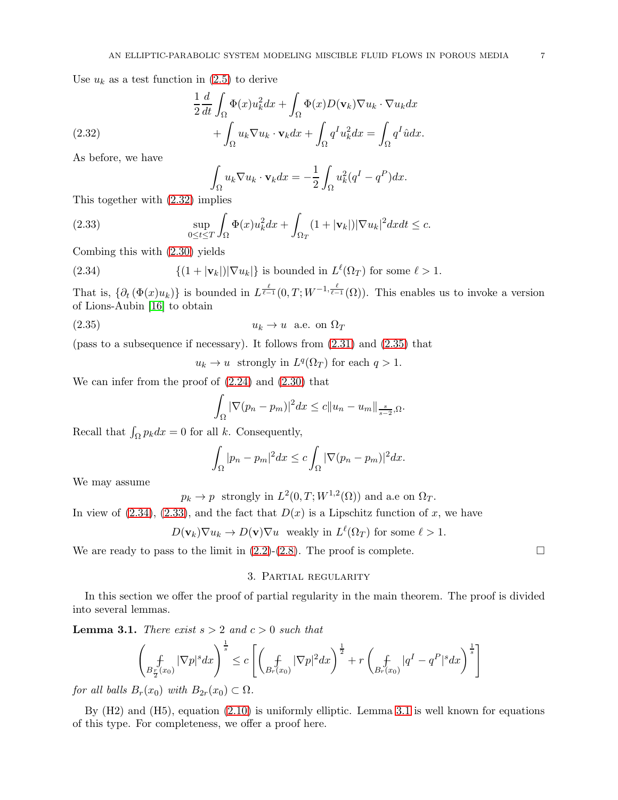Use  $u_k$  as a test function in  $(2.5)$  to derive

(2.32) 
$$
\frac{1}{2} \frac{d}{dt} \int_{\Omega} \Phi(x) u_k^2 dx + \int_{\Omega} \Phi(x) D(\mathbf{v}_k) \nabla u_k \cdot \nabla u_k dx + \int_{\Omega} u_k \nabla u_k \cdot \mathbf{v}_k dx + \int_{\Omega} q^T u_k^2 dx = \int_{\Omega} q^T \hat{u} dx.
$$

As before, we have

<span id="page-6-3"></span><span id="page-6-0"></span>
$$
\int_{\Omega} u_k \nabla u_k \cdot \mathbf{v}_k dx = -\frac{1}{2} \int_{\Omega} u_k^2 (q^I - q^P) dx.
$$

This together with [\(2.32\)](#page-6-0) implies

(2.33) 
$$
\sup_{0\leq t\leq T}\int_{\Omega}\Phi(x)u_k^2dx+\int_{\Omega_T}(1+|\mathbf{v}_k|)|\nabla u_k|^2dxdt\leq c.
$$

Combing this with [\(2.30\)](#page-5-1) yields

(2.34) 
$$
\{(1+|\mathbf{v}_k|)|\nabla u_k|\}\text{ is bounded in } L^{\ell}(\Omega_T)\text{ for some } \ell > 1.
$$

That is,  $\{\partial_t(\Phi(x)u_k)\}\$ is bounded in  $L^{\frac{\ell}{\ell-1}}(0,T;W^{-1,\frac{\ell}{\ell-1}}(\Omega))$ . This enables us to invoke a version of Lions-Aubin [\[16\]](#page-20-14) to obtain

$$
(2.35) \t\t u_k \to u \t a.e. \t on \t \Omega_T
$$

(pass to a subsequence if necessary). It follows from  $(2.31)$  and  $(2.35)$  that

<span id="page-6-2"></span><span id="page-6-1"></span> $u_k \to u$  strongly in  $L^q(\Omega_T)$  for each  $q > 1$ .

We can infer from the proof of [\(2.24\)](#page-5-3) and [\(2.30\)](#page-5-1) that

$$
\int_{\Omega} |\nabla (p_n - p_m)|^2 dx \leq c ||u_n - u_m||_{\frac{s}{s-2},\Omega}.
$$

Recall that  $\int_{\Omega} p_k dx = 0$  for all k. Consequently,

$$
\int_{\Omega} |p_n - p_m|^2 dx \leq c \int_{\Omega} |\nabla (p_n - p_m)|^2 dx.
$$

We may assume

 $p_k \to p$  strongly in  $L^2(0,T;W^{1,2}(\Omega))$  and a.e on  $\Omega_T$ .

In view of  $(2.34)$ ,  $(2.33)$ , and the fact that  $D(x)$  is a Lipschitz function of x, we have

$$
D(\mathbf{v}_k)\nabla u_k \to D(\mathbf{v})\nabla u
$$
 weakly in  $L^{\ell}(\Omega_T)$  for some  $\ell > 1$ .

We are ready to pass to the limit in  $(2.2)-(2.8)$  $(2.2)-(2.8)$ . The proof is complete.

## 3. Partial regularity

In this section we offer the proof of partial regularity in the main theorem. The proof is divided into several lemmas.

<span id="page-6-4"></span>**Lemma 3.1.** *There exist*  $s > 2$  *and*  $c > 0$  *such that* 

$$
\left(\underset{B_{\frac{r}{2}}(x_0)}{f}|\nabla p|^s dx\right)^{\frac{1}{s}} \leq c \left[\left(\underset{B_{r}(x_0)}{f}|\nabla p|^2 dx\right)^{\frac{1}{2}} + r \left(\underset{B_{r}(x_0)}{f} |q^I - q^P|^s dx\right)^{\frac{1}{s}}\right]
$$

*for all balls*  $B_r(x_0)$  *with*  $B_{2r}(x_0) \subset \Omega$ *.* 

By (H2) and (H5), equation [\(2.10\)](#page-3-1) is uniformly elliptic. Lemma [3.1](#page-6-4) is well known for equations of this type. For completeness, we offer a proof here.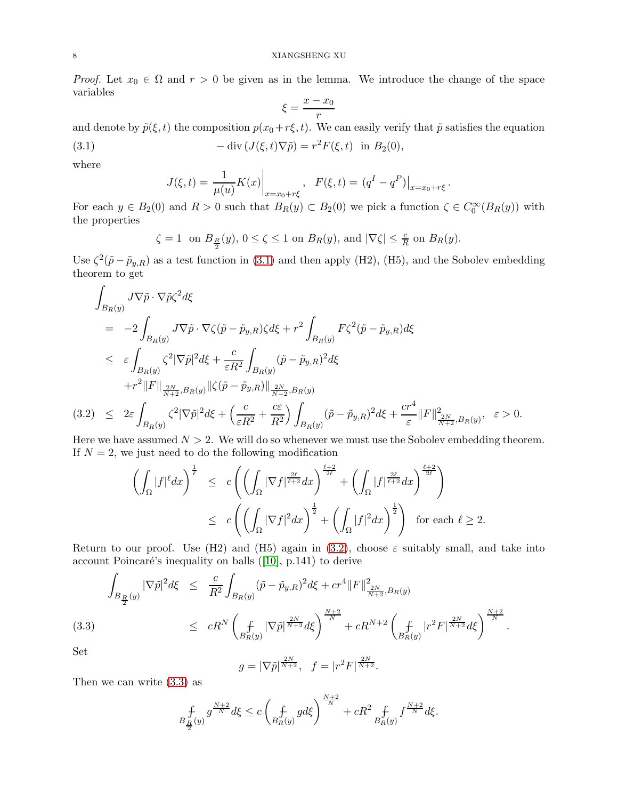*Proof.* Let  $x_0 \in \Omega$  and  $r > 0$  be given as in the lemma. We introduce the change of the space variables

$$
\xi = \frac{x - x_0}{r}
$$

and denote by  $\tilde{p}(\xi, t)$  the composition  $p(x_0+r\xi, t)$ . We can easily verify that  $\tilde{p}$  satisfies the equation

(3.1) 
$$
-\operatorname{div}(J(\xi, t)\nabla \tilde{p}) = r^2 F(\xi, t) \text{ in } B_2(0),
$$

where

<span id="page-7-0"></span>
$$
J(\xi, t) = \frac{1}{\mu(u)} K(x) \Big|_{x = x_0 + r\xi}, \quad F(\xi, t) = (q^I - q^P) \Big|_{x = x_0 + r\xi}.
$$

For each  $y \in B_2(0)$  and  $R > 0$  such that  $B_R(y) \subset B_2(0)$  we pick a function  $\zeta \in C_0^{\infty}(B_R(y))$  with the properties

 $\zeta = 1$  on  $B_{\frac{R}{2}}(y), 0 \le \zeta \le 1$  on  $B_R(y)$ , and  $|\nabla \zeta| \le \frac{c}{R}$  on  $B_R(y)$ .

Use  $\zeta^2(\tilde{p}-\tilde{p}_{y,R})$  as a test function in [\(3.1\)](#page-7-0) and then apply (H2), (H5), and the Sobolev embedding theorem to get

<span id="page-7-1"></span>
$$
\int_{B_R(y)} J \nabla \tilde{p} \cdot \nabla \tilde{p} \zeta^2 d\xi
$$
\n
$$
= -2 \int_{B_R(y)} J \nabla \tilde{p} \cdot \nabla \zeta (\tilde{p} - \tilde{p}_{y,R}) \zeta d\xi + r^2 \int_{B_R(y)} F \zeta^2 (\tilde{p} - \tilde{p}_{y,R}) d\xi
$$
\n
$$
\leq \varepsilon \int_{B_R(y)} \zeta^2 |\nabla \tilde{p}|^2 d\xi + \frac{c}{\varepsilon R^2} \int_{B_R(y)} (\tilde{p} - \tilde{p}_{y,R})^2 d\xi
$$
\n
$$
+ r^2 \|F\|_{\frac{2N}{N+2}, B_R(y)} \|\zeta (\tilde{p} - \tilde{p}_{y,R})\|_{\frac{2N}{N-2}, B_R(y)}{\frac{2N}{N-2}, B_R(y)}
$$
\n
$$
(3.2) \leq 2\varepsilon \int_{B_R(y)} \zeta^2 |\nabla \tilde{p}|^2 d\xi + \left(\frac{c}{\varepsilon R^2} + \frac{c\varepsilon}{R^2}\right) \int_{B_R(y)} (\tilde{p} - \tilde{p}_{y,R})^2 d\xi + \frac{c r^4}{\varepsilon} \|F\|_{\frac{2N}{N+2}, B_R(y)}^2, \quad \varepsilon > 0.
$$

Here we have assumed  $N > 2$ . We will do so whenever we must use the Sobolev embedding theorem. If  $N = 2$ , we just need to do the following modification

$$
\left(\int_{\Omega} |f|^{\ell} dx\right)^{\frac{1}{\ell}} \leq c \left(\left(\int_{\Omega} |\nabla f|^{\frac{2\ell}{\ell+2}} dx\right)^{\frac{\ell+2}{2\ell}} + \left(\int_{\Omega} |f|^{\frac{2\ell}{\ell+2}} dx\right)^{\frac{\ell+2}{2\ell}}\right) \leq c \left(\left(\int_{\Omega} |\nabla f|^2 dx\right)^{\frac{1}{2}} + \left(\int_{\Omega} |f|^2 dx\right)^{\frac{1}{2}}\right) \text{ for each } \ell \geq 2.
$$

Return to our proof. Use (H2) and (H5) again in [\(3.2\)](#page-7-1), choose  $\varepsilon$  suitably small, and take into account Poincaré's inequality on balls  $([10], p.141)$  $([10], p.141)$  $([10], p.141)$  to derive

<span id="page-7-2"></span>
$$
\int_{B_{\frac{R}{2}}(y)} |\nabla \tilde{p}|^2 d\xi \leq \frac{c}{R^2} \int_{B_R(y)} (\tilde{p} - \tilde{p}_{y,R})^2 d\xi + cr^4 ||F||^2_{\frac{2N}{N+2},B_R(y)} \n\leq cR^N \left( \int_{B_R(y)} |\nabla \tilde{p}|^{\frac{2N}{N+2}} d\xi \right)^{\frac{N+2}{N}} + cR^{N+2} \left( \int_{B_R(y)} |r^2 F|^{\frac{2N}{N+2}} d\xi \right)^{\frac{N+2}{N}}.
$$

Set

$$
g = |\nabla \tilde{p}|^{\frac{2N}{N+2}}, \quad f = |r^2 F|^{\frac{2N}{N+2}}.
$$

Then we can write [\(3.3\)](#page-7-2) as

$$
B_{\frac{R}{2}}^{f}(y) \frac{g^{\frac{N+2}{N}}d\xi \le c \left(f_{B_R(y)}^{\ f} g d\xi\right)^{\frac{N+2}{N}} + cR^2 \int_{B_R(y)} f^{\frac{N+2}{N}} d\xi.
$$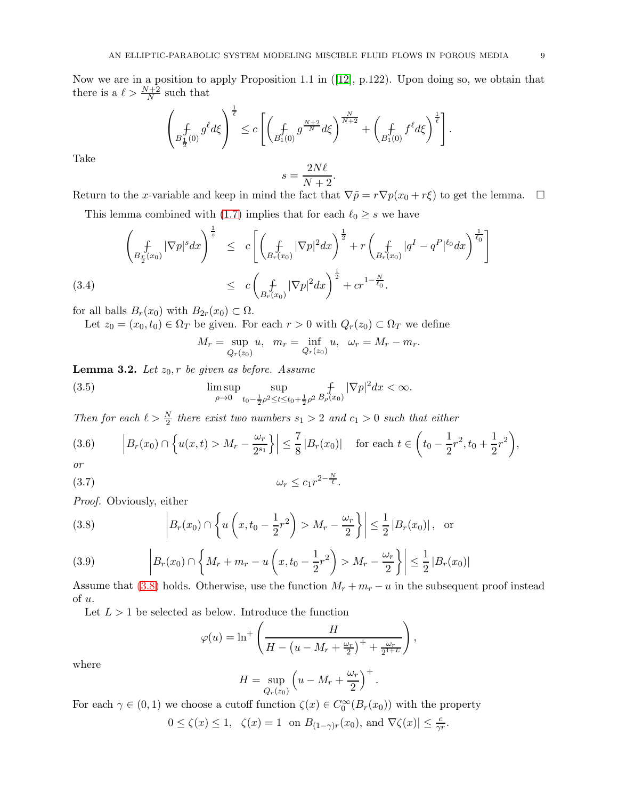Now we are in a position to apply Proposition 1.1 in ([\[12\]](#page-20-16), p.122). Upon doing so, we obtain that there is a  $\ell > \frac{N+2}{N}$  such that

$$
\left(\underset{B_{\frac{1}{2}}(0)}{f} g^{\ell} d\xi\right)^{\frac{1}{\ell}} \leq c \left[\left(\underset{B_{1}(0)}{f} g^{\frac{N+2}{N}} d\xi\right)^{\frac{N}{N+2}} + \left(\underset{B_{1}(0)}{f} f^{\ell} d\xi\right)^{\frac{1}{\ell}}\right].
$$

Take

$$
s = \frac{2N\ell}{N+2}.
$$

Return to the x-variable and keep in mind the fact that  $\nabla \tilde{p} = r \nabla p(x_0 + r \xi)$  to get the lemma.  $\square$ 

<span id="page-8-5"></span>This lemma combined with [\(1.7\)](#page-0-1) implies that for each  $\ell_0 \geq s$  we have

$$
\left(\int_{B_{\frac{r}{2}}(x_0)} |\nabla p|^s dx\right)^{\frac{1}{s}} \leq c \left[\left(\int_{B_r(x_0)} |\nabla p|^2 dx\right)^{\frac{1}{2}} + r \left(\int_{B_r(x_0)} |q^I - q^P|^{\ell_0} dx\right)^{\frac{1}{\ell_0}}\right]
$$
\n
$$
\leq c \left(\int_{B_r(x_0)} |\nabla p|^2 dx\right)^{\frac{1}{2}} + c r^{1-\frac{N}{\ell_0}}.
$$

for all balls  $B_r(x_0)$  with  $B_{2r}(x_0) \subset \Omega$ .

Let  $z_0 = (x_0, t_0) \in \Omega_T$  be given. For each  $r > 0$  with  $Q_r(z_0) \subset \Omega_T$  we define

<span id="page-8-3"></span><span id="page-8-1"></span>
$$
M_r = \sup_{Q_r(z_0)} u
$$
,  $m_r = \inf_{Q_r(z_0)} u$ ,  $\omega_r = M_r - m_r$ .

<span id="page-8-4"></span>**Lemma 3.2.** Let  $z_0$ , r be given as before. Assume

(3.5) 
$$
\limsup_{\rho \to 0} \sup_{t_0 - \frac{1}{2}\rho^2 \le t \le t_0 + \frac{1}{2}\rho^2} \mathop{f}_{B_{\rho}(x_0)} |\nabla p|^2 dx < \infty.
$$

*Then for each*  $\ell > \frac{N}{2}$  *there exist two numbers*  $s_1 > 2$  *and*  $c_1 > 0$  *such that either* 

<span id="page-8-2"></span>
$$
(3.6) \qquad \left| B_r(x_0) \cap \left\{ u(x,t) > M_r - \frac{\omega_r}{2^{s_1}} \right\} \right| \leq \frac{7}{8} |B_r(x_0)| \quad \text{for each } t \in \left( t_0 - \frac{1}{2} r^2, t_0 + \frac{1}{2} r^2 \right),
$$
  
or

$$
or
$$

$$
(3.7) \t\t \t\t \t\t \omega_r \leq c_1 r^{2 - \frac{N}{\ell}}.
$$

*Proof.* Obviously, either

<span id="page-8-0"></span>(3.8) 
$$
\left| B_r(x_0) \cap \left\{ u \left( x, t_0 - \frac{1}{2} r^2 \right) > M_r - \frac{\omega_r}{2} \right\} \right| \le \frac{1}{2} |B_r(x_0)| \,, \text{ or }
$$

(3.9) 
$$
\left| B_r(x_0) \cap \left\{ M_r + m_r - u\left(x, t_0 - \frac{1}{2}r^2\right) > M_r - \frac{\omega_r}{2} \right\} \right| \leq \frac{1}{2} |B_r(x_0)|
$$

Assume that [\(3.8\)](#page-8-0) holds. Otherwise, use the function  $M_r + m_r - u$  in the subsequent proof instead of u.

Let  $L > 1$  be selected as below. Introduce the function

$$
\varphi(u) = \ln^+\left(\frac{H}{H - \left(u - M_r + \frac{\omega_r}{2}\right)^+ + \frac{\omega_r}{2^{1+L}}}\right),\,
$$

where

$$
H = \sup_{Q_r(z_0)} \left( u - M_r + \frac{\omega_r}{2} \right)^+.
$$

For each  $\gamma \in (0,1)$  we choose a cutoff function  $\zeta(x) \in C_0^{\infty}(B_r(x_0))$  with the property  $0 \le \zeta(x) \le 1$ ,  $\zeta(x) = 1$  on  $B_{(1-\gamma)r}(x_0)$ , and  $\nabla \zeta(x) \le \frac{c}{\gamma r}$ .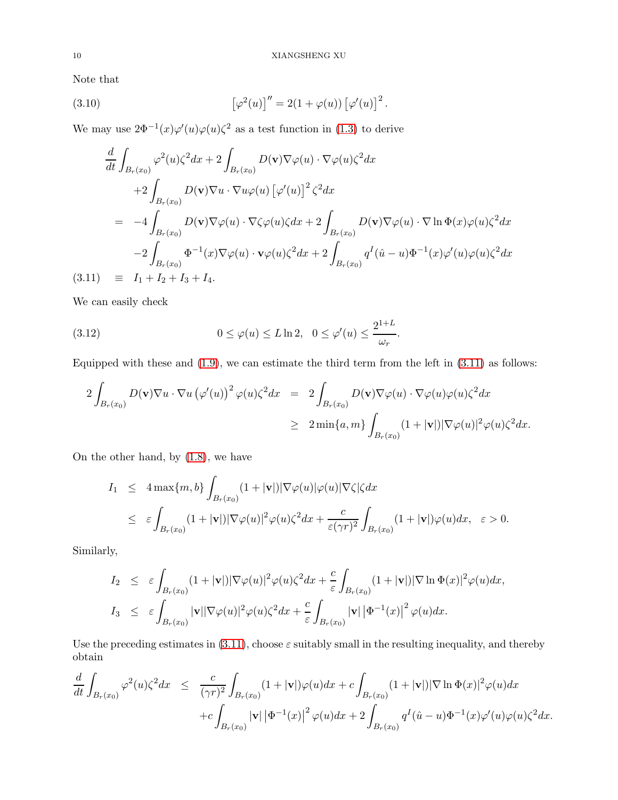Note that

(3.10) 
$$
\left[\varphi^2(u)\right]'' = 2(1+\varphi(u))\left[\varphi'(u)\right]^2.
$$

We may use  $2\Phi^{-1}(x)\varphi'(u)\varphi(u)\zeta^2$  as a test function in [\(1.3\)](#page-0-0) to derive

<span id="page-9-0"></span>
$$
\frac{d}{dt} \int_{B_r(x_0)} \varphi^2(u)\zeta^2 dx + 2 \int_{B_r(x_0)} D(\mathbf{v})\nabla\varphi(u) \cdot \nabla\varphi(u)\zeta^2 dx \n+2 \int_{B_r(x_0)} D(\mathbf{v})\nabla u \cdot \nabla u\varphi(u) [\varphi'(u)]^2 \zeta^2 dx \n= -4 \int_{B_r(x_0)} D(\mathbf{v})\nabla\varphi(u) \cdot \nabla\zeta\varphi(u)\zeta dx + 2 \int_{B_r(x_0)} D(\mathbf{v})\nabla\varphi(u) \cdot \nabla \ln \Phi(x)\varphi(u)\zeta^2 dx \n-2 \int_{B_r(x_0)} \Phi^{-1}(x)\nabla\varphi(u) \cdot \mathbf{v}\varphi(u)\zeta^2 dx + 2 \int_{B_r(x_0)} q^I(\hat{u} - u)\Phi^{-1}(x)\varphi'(u)\varphi(u)\zeta^2 dx \n(3.11) \equiv I_1 + I_2 + I_3 + I_4.
$$

We can easily check

(3.12) 
$$
0 \le \varphi(u) \le L \ln 2, \quad 0 \le \varphi'(u) \le \frac{2^{1+L}}{\omega_r}.
$$

Equipped with these and  $(1.9)$ , we can estimate the third term from the left in  $(3.11)$  as follows:

<span id="page-9-1"></span>
$$
2\int_{B_r(x_0)} D(\mathbf{v}) \nabla u \cdot \nabla u \left(\varphi'(u)\right)^2 \varphi(u) \zeta^2 dx = 2 \int_{B_r(x_0)} D(\mathbf{v}) \nabla \varphi(u) \cdot \nabla \varphi(u) \varphi(u) \zeta^2 dx
$$
  

$$
\geq 2 \min\{a, m\} \int_{B_r(x_0)} (1 + |\mathbf{v}|) |\nabla \varphi(u)|^2 \varphi(u) \zeta^2 dx.
$$

On the other hand, by [\(1.8\)](#page-1-2), we have

$$
I_1 \leq 4 \max\{m, b\} \int_{B_r(x_0)} (1 + |\mathbf{v}|) |\nabla \varphi(u)| \varphi(u) |\nabla \zeta| \zeta dx
$$
  

$$
\leq \varepsilon \int_{B_r(x_0)} (1 + |\mathbf{v}|) |\nabla \varphi(u)|^2 \varphi(u) \zeta^2 dx + \frac{c}{\varepsilon (\gamma r)^2} \int_{B_r(x_0)} (1 + |\mathbf{v}|) \varphi(u) dx, \quad \varepsilon > 0.
$$

Similarly,

$$
I_2 \leq \varepsilon \int_{B_r(x_0)} (1+|\mathbf{v}|) |\nabla \varphi(u)|^2 \varphi(u) \zeta^2 dx + \frac{c}{\varepsilon} \int_{B_r(x_0)} (1+|\mathbf{v}|) |\nabla \ln \Phi(x)|^2 \varphi(u) dx,
$$
  
\n
$$
I_3 \leq \varepsilon \int_{B_r(x_0)} |\mathbf{v}| |\nabla \varphi(u)|^2 \varphi(u) \zeta^2 dx + \frac{c}{\varepsilon} \int_{B_r(x_0)} |\mathbf{v}| |\Phi^{-1}(x)|^2 \varphi(u) dx.
$$

Use the preceding estimates in  $(3.11)$ , choose  $\varepsilon$  suitably small in the resulting inequality, and thereby obtain

$$
\frac{d}{dt} \int_{B_r(x_0)} \varphi^2(u) \zeta^2 dx \leq \frac{c}{(\gamma r)^2} \int_{B_r(x_0)} (1+|\mathbf{v}|) \varphi(u) dx + c \int_{B_r(x_0)} (1+|\mathbf{v}|) |\nabla \ln \Phi(x)|^2 \varphi(u) dx \n+ c \int_{B_r(x_0)} |\mathbf{v}| |\Phi^{-1}(x)|^2 \varphi(u) dx + 2 \int_{B_r(x_0)} q^I(\hat{u}-u) \Phi^{-1}(x) \varphi'(u) \varphi(u) \zeta^2 dx.
$$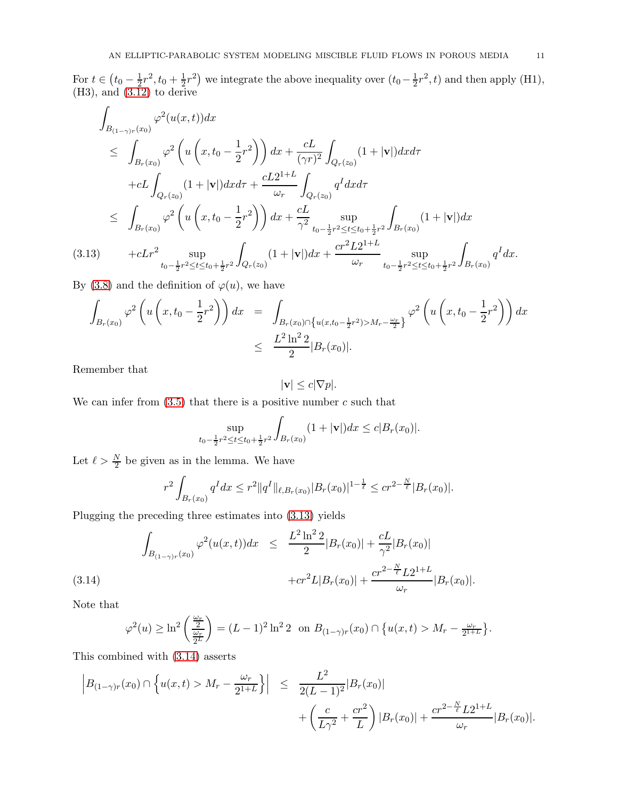For  $t \in (t_0 - \frac{1}{2})$  $\frac{1}{2}r^2, t_0 + \frac{1}{2}$  $(\frac{1}{2}r^2)$  we integrate the above inequality over  $(t_0 - \frac{1}{2})$  $\frac{1}{2}r^2$ , t) and then apply (H1),  $(H3)$ , and  $(3.12)$  to derive

<span id="page-10-0"></span>
$$
\int_{B_{(1-\gamma)r}(x_0)} \varphi^2(u(x,t))dx
$$
\n
$$
\leq \int_{B_r(x_0)} \varphi^2\left(u\left(x,t_0 - \frac{1}{2}r^2\right)\right)dx + \frac{cL}{(\gamma r)^2} \int_{Q_r(z_0)} (1+|\mathbf{v}|)dxd\tau
$$
\n
$$
+ cL \int_{Q_r(z_0)} (1+|\mathbf{v}|)dxd\tau + \frac{cL2^{1+L}}{\omega_r} \int_{Q_r(z_0)} q^I dxd\tau
$$
\n
$$
\leq \int_{B_r(x_0)} \varphi^2\left(u\left(x,t_0 - \frac{1}{2}r^2\right)\right)dx + \frac{cL}{\gamma^2} \sup_{t_0 - \frac{1}{2}r^2 \leq t \leq t_0 + \frac{1}{2}r^2} \int_{B_r(x_0)} (1+|\mathbf{v}|)dx
$$
\n(3.13) 
$$
+ cLr^2 \sup_{t_0 - \frac{1}{2}r^2 \leq t \leq t_0 + \frac{1}{2}r^2} \int_{Q_r(z_0)} (1+|\mathbf{v}|)dx + \frac{cr^2 L2^{1+L}}{\omega_r} \sup_{t_0 - \frac{1}{2}r^2 \leq t \leq t_0 + \frac{1}{2}r^2} \int_{B_r(x_0)} q^I dx.
$$

By [\(3.8\)](#page-8-0) and the definition of  $\varphi(u)$ , we have

$$
\int_{B_r(x_0)} \varphi^2 \left( u \left( x, t_0 - \frac{1}{2} r^2 \right) \right) dx = \int_{B_r(x_0) \cap \left\{ u(x, t_0 - \frac{1}{2} r^2) > M_r - \frac{\omega_r}{2} \right\}} \varphi^2 \left( u \left( x, t_0 - \frac{1}{2} r^2 \right) \right) dx
$$
\n
$$
\leq \frac{L^2 \ln^2 2}{2} |B_r(x_0)|.
$$

Remember that

$$
|\mathbf{v}| \le c|\nabla p|.
$$

We can infer from  $(3.5)$  that there is a positive number c such that

$$
\sup_{t_0 - \frac{1}{2}r^2 \le t \le t_0 + \frac{1}{2}r^2} \int_{B_r(x_0)} (1 + |\mathbf{v}|) dx \le c|B_r(x_0)|.
$$

Let  $\ell > \frac{N}{2}$  be given as in the lemma. We have

<span id="page-10-1"></span>
$$
r^{2} \int_{B_{r}(x_{0})} q^{I} dx \leq r^{2} \|q^{I}\|_{\ell, B_{r}(x_{0})} |B_{r}(x_{0})|^{1-\frac{1}{\ell}} \leq c r^{2-\frac{N}{\ell}} |B_{r}(x_{0})|.
$$

Plugging the preceding three estimates into [\(3.13\)](#page-10-0) yields

$$
\int_{B_{(1-\gamma)r}(x_0)} \varphi^2(u(x,t))dx \le \frac{L^2 \ln^2 2}{2} |B_r(x_0)| + \frac{cL}{\gamma^2} |B_r(x_0)| + cr^2 L |B_r(x_0)| + \frac{cr^{2-\frac{N}{\ell}} L 2^{1+L}}{\omega_r} |B_r(x_0)|.
$$
\n(3.14)

Note that

$$
\varphi^{2}(u) \ge \ln^{2}\left(\frac{\frac{\omega_{r}}{2}}{\frac{\omega_{r}}{2^{L}}}\right) = (L-1)^{2}\ln^{2} 2 \text{ on } B_{(1-\gamma)r}(x_{0}) \cap \{u(x,t) > M_{r} - \frac{\omega_{r}}{2^{1+L}}\}.
$$

This combined with [\(3.14\)](#page-10-1) asserts

$$
\left| B_{(1-\gamma)r}(x_0) \cap \left\{ u(x,t) > M_r - \frac{\omega_r}{2^{1+L}} \right\} \right| \leq \frac{L^2}{2(L-1)^2} |B_r(x_0)| + \left( \frac{c}{L\gamma^2} + \frac{cr^2}{L} \right) |B_r(x_0)| + \frac{cr^{2-\frac{N}{\ell}} L 2^{1+L}}{\omega_r} |B_r(x_0)|.
$$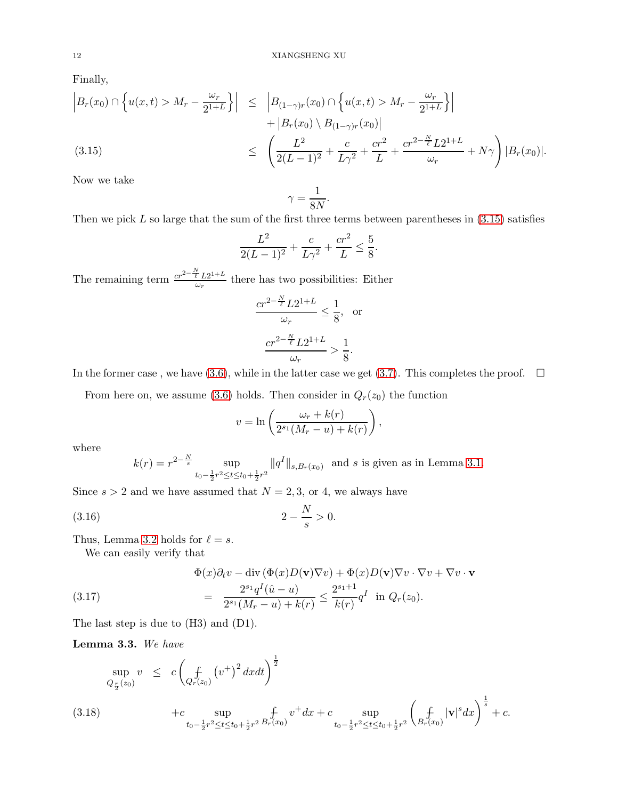Finally,

<span id="page-11-0"></span>
$$
\begin{aligned}\n\left| B_r(x_0) \cap \left\{ u(x,t) > M_r - \frac{\omega_r}{2^{1+L}} \right\} \right| &\leq \left| B_{(1-\gamma)r}(x_0) \cap \left\{ u(x,t) > M_r - \frac{\omega_r}{2^{1+L}} \right\} \right| \\
&\quad + \left| B_r(x_0) \setminus B_{(1-\gamma)r}(x_0) \right| \\
&\leq \left( \frac{L^2}{2(L-1)^2} + \frac{c}{L\gamma^2} + \frac{cr^2}{L} + \frac{cr^{2-\frac{N}{\ell}} L 2^{1+L}}{\omega_r} + N\gamma \right) \left| B_r(x_0) \right|. \n\end{aligned}
$$

Now we take

$$
\gamma = \frac{1}{8N}.
$$

Then we pick  $L$  so large that the sum of the first three terms between parentheses in  $(3.15)$  satisfies

$$
\frac{L^2}{2(L-1)^2} + \frac{c}{L\gamma^2} + \frac{cr^2}{L} \le \frac{5}{8}.
$$

The remaining term  $\frac{cr^{2-\frac{N}{\ell}}L2^{1+L}}{dr}$  $\frac{\ell L 2^{1+2}}{\omega_r}$  there has two possibilities: Either

$$
\frac{cr^{2-\frac{N}{\ell}}L2^{1+L}}{\omega_r} \le \frac{1}{8}, \text{ or}
$$

$$
\frac{cr^{2-\frac{N}{\ell}}L2^{1+L}}{\omega_r} > \frac{1}{8}.
$$

In the former case, we have [\(3.6\)](#page-8-2), while in the latter case we get [\(3.7\)](#page-8-3). This completes the proof.  $\Box$ 

From here on, we assume [\(3.6\)](#page-8-2) holds. Then consider in  $Q_r(z_0)$  the function

<span id="page-11-2"></span>
$$
v = \ln\left(\frac{\omega_r + k(r)}{2^{s_1}(M_r - u) + k(r)}\right),\,
$$

where

$$
k(r) = r^{2 - \frac{N}{s}} \sup_{t_0 - \frac{1}{2}r^2 \le t \le t_0 + \frac{1}{2}r^2} \|q^I\|_{s, B_r(x_0)} \text{ and } s \text{ is given as in Lemma 3.1.}
$$

Since  $s > 2$  and we have assumed that  $N = 2, 3$ , or 4, we always have

(3.16) 
$$
2 - \frac{N}{s} > 0.
$$

Thus, Lemma [3.2](#page-8-4) holds for  $\ell = s$ .

<span id="page-11-1"></span>We can easily verify that

(3.17) 
$$
\Phi(x)\partial_t v - \text{div}(\Phi(x)D(\mathbf{v})\nabla v) + \Phi(x)D(\mathbf{v})\nabla v \cdot \nabla v + \nabla v \cdot \mathbf{v}
$$

$$
= \frac{2^{s_1}q^I(\hat{u}-u)}{2^{s_1}(M_r-u) + k(r)} \le \frac{2^{s_1+1}}{k(r)}q^I \text{ in } Q_r(z_0).
$$

The last step is due to (H3) and (D1).

Lemma 3.3. *We have*

<span id="page-11-3"></span>
$$
\sup_{Q_{\frac{r}{2}}(z_0)} v \leq c \left(\frac{f}{Q_r(z_0)} (v^+)^2 dx dt\right)^{\frac{1}{2}}
$$
\n
$$
+ c \sup_{t_0 - \frac{1}{2}r^2 \leq t \leq t_0 + \frac{1}{2}r^2} \frac{f}{B_r(x_0)} v^+ dx + c \sup_{t_0 - \frac{1}{2}r^2 \leq t \leq t_0 + \frac{1}{2}r^2} \left(\frac{f}{B_r(x_0)} |\mathbf{v}|^s dx\right)^{\frac{1}{s}} + c.
$$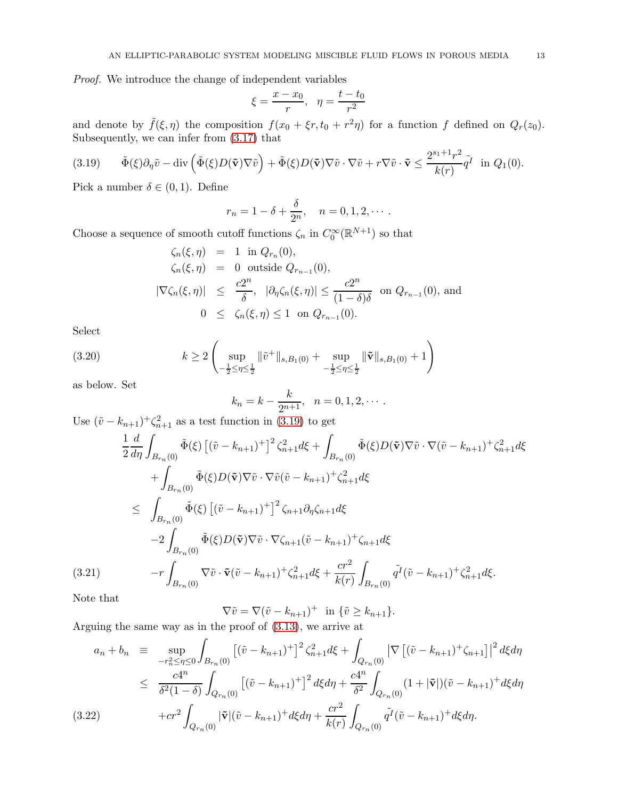*Proof.* We introduce the change of independent variables

$$
\xi = \frac{x - x_0}{r}, \quad \eta = \frac{t - t_0}{r^2}
$$

and denote by  $\tilde{f}(\xi, \eta)$  the composition  $f(x_0 + \xi r, t_0 + r^2 \eta)$  for a function f defined on  $Q_r(z_0)$ . Subsequently, we can infer from [\(3.17\)](#page-11-1) that

<span id="page-12-0"></span>(3.19) 
$$
\tilde{\Phi}(\xi)\partial_{\eta}\tilde{v} - \text{div}\left(\tilde{\Phi}(\xi)D(\tilde{\mathbf{v}})\nabla\tilde{v}\right) + \tilde{\Phi}(\xi)D(\tilde{\mathbf{v}})\nabla\tilde{v}\cdot\nabla\tilde{v} + r\nabla\tilde{v}\cdot\tilde{\mathbf{v}} \leq \frac{2^{s_1+1}r^2}{k(r)}\tilde{q}^I \text{ in } Q_1(0).
$$

Pick a number  $\delta \in (0,1)$ . Define

$$
r_n = 1 - \delta + \frac{\delta}{2^n}, \quad n = 0, 1, 2, \cdots.
$$

Choose a sequence of smooth cutoff functions  $\zeta_n$  in  $C_0^{\infty}(\mathbb{R}^{N+1})$  so that

$$
\begin{aligned}\n\zeta_n(\xi,\eta) &= 1 \text{ in } Q_{r_n}(0), \\
\zeta_n(\xi,\eta) &= 0 \text{ outside } Q_{r_{n-1}}(0), \\
|\nabla \zeta_n(\xi,\eta)| &\leq \frac{c2^n}{\delta}, \quad |\partial_\eta \zeta_n(\xi,\eta)| \leq \frac{c2^n}{(1-\delta)\delta} \text{ on } Q_{r_{n-1}}(0), \text{ and} \\
0 &\leq \zeta_n(\xi,\eta) \leq 1 \text{ on } Q_{r_{n-1}}(0).\n\end{aligned}
$$

Select

(3.20) 
$$
k \ge 2 \left( \sup_{-\frac{1}{2} \le \eta \le \frac{1}{2}} \| \tilde{v}^{+} \|_{s,B_1(0)} + \sup_{-\frac{1}{2} \le \eta \le \frac{1}{2}} \| \tilde{\mathbf{v}} \|_{s,B_1(0)} + 1 \right)
$$

as below. Set

<span id="page-12-1"></span>
$$
k_n = k - \frac{k}{2^{n+1}}, \quad n = 0, 1, 2, \cdots.
$$

Use  $(\tilde{v} - k_{n+1})^+ \zeta_{n+1}^2$  as a test function in [\(3.19\)](#page-12-0) to get

$$
\frac{1}{2} \frac{d}{d\eta} \int_{B_{r_n}(0)} \tilde{\Phi}(\xi) \left[ (\tilde{v} - k_{n+1})^+ \right]^2 \zeta_{n+1}^2 d\xi + \int_{B_{r_n}(0)} \tilde{\Phi}(\xi) D(\tilde{\mathbf{v}}) \nabla \tilde{v} \cdot \nabla (\tilde{v} - k_{n+1})^+ \zeta_{n+1}^2 d\xi \n+ \int_{B_{r_n}(0)} \tilde{\Phi}(\xi) D(\tilde{\mathbf{v}}) \nabla \tilde{v} \cdot \nabla \tilde{v} (\tilde{v} - k_{n+1})^+ \zeta_{n+1}^2 d\xi \n\leq \int_{B_{r_n}(0)} \tilde{\Phi}(\xi) \left[ (\tilde{v} - k_{n+1})^+ \right]^2 \zeta_{n+1} \partial_{\eta} \zeta_{n+1} d\xi \n- 2 \int_{B_{r_n}(0)} \tilde{\Phi}(\xi) D(\tilde{\mathbf{v}}) \nabla \tilde{v} \cdot \nabla \zeta_{n+1} (\tilde{v} - k_{n+1})^+ \zeta_{n+1} d\xi \n(3.21) \qquad -r \int_{B_{r_n}(0)} \nabla \tilde{v} \cdot \tilde{\mathbf{v}} (\tilde{v} - k_{n+1})^+ \zeta_{n+1}^2 d\xi + \frac{cr^2}{k(r)} \int_{B_{r_n}(0)} \tilde{q}^I (\tilde{v} - k_{n+1})^+ \zeta_{n+1}^2 d\xi.
$$

Note that

$$
\nabla \tilde{v} = \nabla (\tilde{v} - k_{n+1})^{+} \text{ in } \{\tilde{v} \ge k_{n+1}\}.
$$

Arguing the same way as in the proof of [\(3.13\)](#page-10-0), we arrive at

<span id="page-12-2"></span>
$$
a_{n} + b_{n} \equiv \sup_{-r_{n}^{2} \leq \eta \leq 0} \int_{B_{r_{n}}(0)} \left[ (\tilde{v} - k_{n+1})^{+} \right]^{2} \zeta_{n+1}^{2} d\xi + \int_{Q_{r_{n}}(0)} \left| \nabla \left[ (\tilde{v} - k_{n+1})^{+} \zeta_{n+1} \right] \right|^{2} d\xi d\eta
$$
  
\n
$$
\leq \frac{c4^{n}}{\delta^{2} (1 - \delta)} \int_{Q_{r_{n}}(0)} \left[ (\tilde{v} - k_{n+1})^{+} \right]^{2} d\xi d\eta + \frac{c4^{n}}{\delta^{2}} \int_{Q_{r_{n}}(0)} (1 + |\tilde{v}|) (\tilde{v} - k_{n+1})^{+} d\xi d\eta
$$
  
\n(3.22) 
$$
+ c r^{2} \int_{Q_{r_{n}}(0)} |\tilde{v}| (\tilde{v} - k_{n+1})^{+} d\xi d\eta + \frac{c r^{2}}{k(r)} \int_{Q_{r_{n}}(0)} \tilde{q}^{I} (\tilde{v} - k_{n+1})^{+} d\xi d\eta.
$$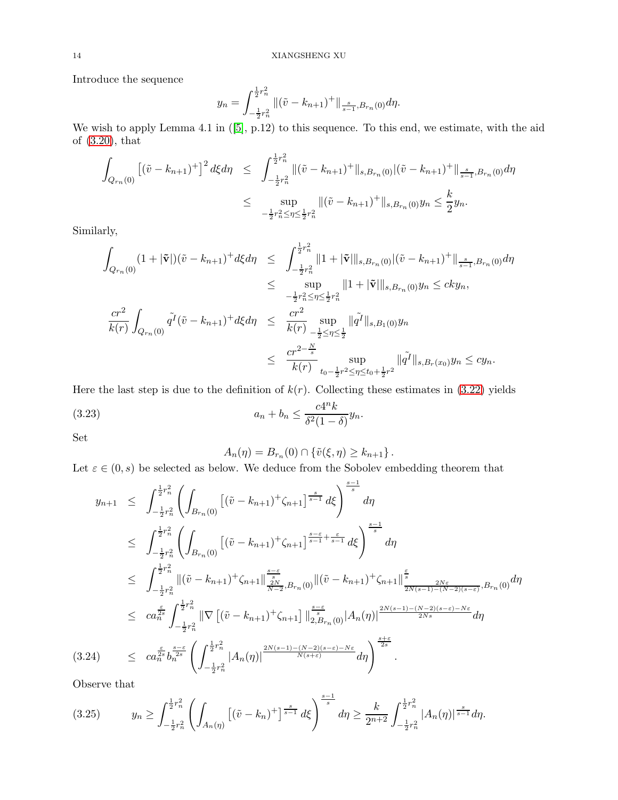Introduce the sequence

$$
y_n = \int_{-\frac{1}{2}r_n^2}^{\frac{1}{2}r_n^2} \|(\tilde{v} - k_{n+1})^+\|_{\frac{s}{s-1},B_{r_n}(0)} d\eta.
$$

We wish to apply Lemma 4.1 in  $([5], p.12)$  $([5], p.12)$  $([5], p.12)$  to this sequence. To this end, we estimate, with the aid of [\(3.20\)](#page-12-1), that

$$
\int_{Q_{r_n}(0)} \left[ (\tilde{v} - k_{n+1})^+ \right]^2 d\xi d\eta \leq \int_{-\frac{1}{2}r_n^2}^{\frac{1}{2}r_n^2} \| (\tilde{v} - k_{n+1})^+ \|_{s, B_{r_n}(0)} |(\tilde{v} - k_{n+1})^+ \|_{\frac{s}{s-1}, B_{r_n}(0)} d\eta
$$
  

$$
\leq \sup_{-\frac{1}{2}r_n^2 \leq \eta \leq \frac{1}{2}r_n^2} \| (\tilde{v} - k_{n+1})^+ \|_{s, B_{r_n}(0)} y_n \leq \frac{k}{2} y_n.
$$

Similarly,

$$
\int_{Q_{r_n}(0)} (1+|\tilde{\mathbf{v}}|)(\tilde{v}-k_{n+1})^+ d\xi d\eta \leq \int_{-\frac{1}{2}r_n^2}^{\frac{1}{2}r_n^2} \|1+|\tilde{\mathbf{v}}|\|_{s,B_{r_n}(0)} |(\tilde{v}-k_{n+1})^+|\|_{\frac{s}{s-1},B_{r_n}(0)} d\eta
$$
\n
$$
\leq \sup_{-\frac{1}{2}r_n^2 \leq \eta \leq \frac{1}{2}r_n^2} \|1+|\tilde{\mathbf{v}}|\|_{s,B_{r_n}(0)} y_n \leq c k y_n,
$$
\n
$$
\frac{cr^2}{k(r)} \int_{Q_{r_n}(0)} \tilde{q}^I(\tilde{v}-k_{n+1})^+ d\xi d\eta \leq \frac{cr^2}{k(r)} \sup_{-\frac{1}{2} \leq \eta \leq \frac{1}{2}} \|\tilde{q}^I\|_{s,B_1(0)} y_n
$$
\n
$$
\leq \frac{cr^{2-\frac{N}{s}}}{k(r)} \sup_{t_0-\frac{1}{2}r^2 \leq \eta \leq t_0+\frac{1}{2}r^2} \|\tilde{q}^I\|_{s,B_r(x_0)} y_n \leq c y_n.
$$

Here the last step is due to the definition of  $k(r)$ . Collecting these estimates in [\(3.22\)](#page-12-2) yields

(3.23) 
$$
a_n + b_n \leq \frac{c4^n k}{\delta^2 (1 - \delta)} y_n.
$$

Set

<span id="page-13-1"></span>
$$
A_n(\eta) = B_{r_n}(0) \cap \{ \tilde{v}(\xi, \eta) \ge k_{n+1} \}.
$$

Let  $\varepsilon \in (0, s)$  be selected as below. We deduce from the Sobolev embedding theorem that

<span id="page-13-2"></span>
$$
y_{n+1} \leq \int_{-\frac{1}{2}r_n^2}^{\frac{1}{2}r_n^2} \left( \int_{B_{r_n}(0)} \left[ (\tilde{v} - k_{n+1})^+ \zeta_{n+1} \right]_{s-1}^{\frac{s}{s-1}} d\xi \right)^{\frac{s-1}{s}} d\eta
$$
  
\n
$$
\leq \int_{-\frac{1}{2}r_n^2}^{\frac{1}{2}r_n^2} \left( \int_{B_{r_n}(0)} \left[ (\tilde{v} - k_{n+1})^+ \zeta_{n+1} \right]_{s-1}^{\frac{s-\varepsilon}{s-1} + \frac{\varepsilon}{s-1}} d\xi \right)^{\frac{s-1}{s}} d\eta
$$
  
\n
$$
\leq \int_{-\frac{1}{2}r_n^2}^{\frac{1}{2}r_n^2} ||(\tilde{v} - k_{n+1})^+ \zeta_{n+1} ||_{\frac{2N}{N-2},B_{r_n}(0)}^{\frac{s-\varepsilon}{s}} ||(\tilde{v} - k_{n+1})^+ \zeta_{n+1} ||_{\frac{2N(\varepsilon-1) - (N-2)(s-\varepsilon)}{2N(\varepsilon-1) - (N-2)(s-\varepsilon)}} B_{r_n}(0) d\eta
$$
  
\n
$$
\leq c a_n^{\frac{\varepsilon}{2s}} \int_{-\frac{1}{2}r_n^2}^{\frac{1}{2}r_n^2} ||\nabla \left[ (\tilde{v} - k_{n+1})^+ \zeta_{n+1} \right] ||_{2, B_{r_n}(0)}^{\frac{s-\varepsilon}{s}} |A_n(\eta)|^{\frac{2N(s-1) - (N-2)(s-\varepsilon) - N\varepsilon}{2Ns}} d\eta
$$
  
\n(3.24) 
$$
\leq c a_n^{\frac{\varepsilon}{2s}} b_n^{\frac{s-\varepsilon}{2s}} \left( \int_{-\frac{1}{2}r_n^2}^{\frac{1}{2}r_n^2} |A_n(\eta)|^{\frac{2N(s-1) - (N-2)(s-\varepsilon) - N\varepsilon}{N(s+\varepsilon)}} d\eta \right)^{\frac{s+\varepsilon}{2s}}.
$$

Observe that

<span id="page-13-0"></span>
$$
(3.25) \t y_n \ge \int_{-\frac{1}{2}r_n^2}^{\frac{1}{2}r_n^2} \left( \int_{A_n(\eta)} \left[ (\tilde{v} - k_n)^+ \right]^{\frac{s}{s-1}} d\xi \right)^{\frac{s-1}{s}} d\eta \ge \frac{k}{2^{n+2}} \int_{-\frac{1}{2}r_n^2}^{\frac{1}{2}r_n^2} |A_n(\eta)|^{\frac{s}{s-1}} d\eta.
$$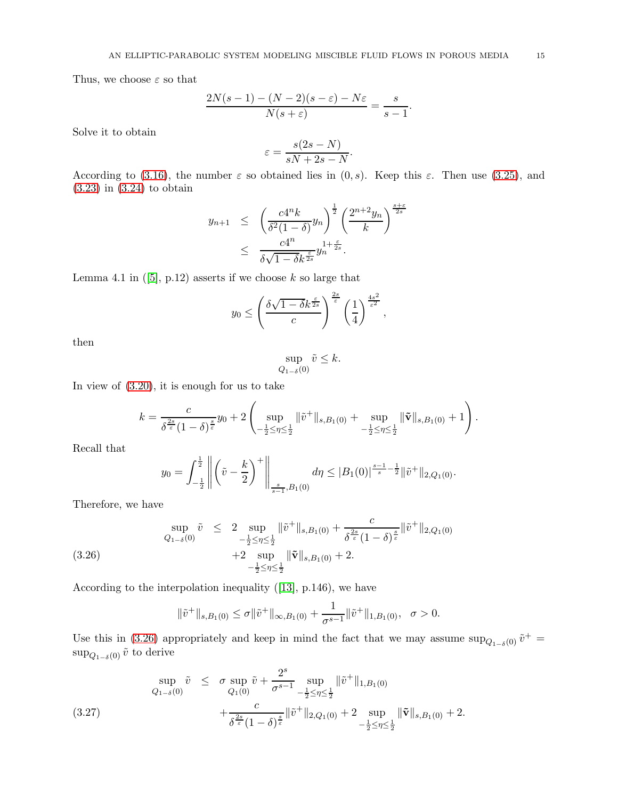Thus, we choose  $\varepsilon$  so that

$$
\frac{2N(s-1)-(N-2)(s-\varepsilon)-N\varepsilon}{N(s+\varepsilon)}=\frac{s}{s-1}.
$$

Solve it to obtain

$$
\varepsilon = \frac{s(2s - N)}{sN + 2s - N}.
$$

According to [\(3.16\)](#page-11-2), the number  $\varepsilon$  so obtained lies in  $(0, s)$ . Keep this  $\varepsilon$ . Then use [\(3.25\)](#page-13-0), and [\(3.23\)](#page-13-1) in [\(3.24\)](#page-13-2) to obtain

$$
y_{n+1} \leq \left(\frac{c4^nk}{\delta^2(1-\delta)}y_n\right)^{\frac{1}{2}}\left(\frac{2^{n+2}y_n}{k}\right)^{\frac{s+\varepsilon}{2s}}
$$

$$
\leq \frac{c4^n}{\delta\sqrt{1-\delta}k^{\frac{\varepsilon}{2s}}}y_n^{1+\frac{\varepsilon}{2s}}.
$$

Lemma 4.1 in  $([5], p.12)$  $([5], p.12)$  $([5], p.12)$  asserts if we choose k so large that

$$
y_0 \le \left(\frac{\delta\sqrt{1-\delta}k^{\frac{\varepsilon}{2s}}}{c}\right)^{\frac{2s}{\varepsilon}}\left(\frac{1}{4}\right)^{\frac{4s^2}{\varepsilon^2}},
$$

then

$$
\sup_{Q_{1-\delta}(0)} \tilde{v} \leq k.
$$

In view of [\(3.20\)](#page-12-1), it is enough for us to take

$$
k = \frac{c}{\delta^{\frac{2s}{\varepsilon}}(1-\delta)^{\frac{s}{\varepsilon}}}y_0 + 2\left(\sup_{-\frac{1}{2}\leq \eta \leq \frac{1}{2}}\|\tilde{v}^+\|_{s,B_1(0)} + \sup_{-\frac{1}{2}\leq \eta \leq \frac{1}{2}}\|\tilde{\mathbf{v}}\|_{s,B_1(0)} + 1\right).
$$

Recall that

<span id="page-14-0"></span>
$$
y_0 = \int_{-\frac{1}{2}}^{\frac{1}{2}} \left\| \left( \tilde{v} - \frac{k}{2} \right)^+ \right\|_{\frac{s}{s-1}, B_1(0)} d\eta \le |B_1(0)|^{\frac{s-1}{s} - \frac{1}{2}} \|\tilde{v}^+\|_{2, Q_1(0)}.
$$

Therefore, we have

$$
\sup_{Q_{1-\delta}(0)} \tilde{v} \leq 2 \sup_{-\frac{1}{2} \leq \eta \leq \frac{1}{2}} \|\tilde{v}^{+}\|_{s,B_{1}(0)} + \frac{c}{\delta^{\frac{2s}{\varepsilon}}(1-\delta)^{\frac{s}{\varepsilon}}} \|\tilde{v}^{+}\|_{2,Q_{1}(0)}
$$
\n
$$
+ 2 \sup_{-\frac{1}{2} \leq \eta \leq \frac{1}{2}} \|\tilde{\mathbf{v}}\|_{s,B_{1}(0)} + 2.
$$
\n(3.26)

According to the interpolation inequality ([\[13\]](#page-20-11), p.146), we have

$$
\|\tilde{v}^+\|_{s,B_1(0)} \leq \sigma \|\tilde{v}^+\|_{\infty,B_1(0)} + \frac{1}{\sigma^{s-1}} \|\tilde{v}^+\|_{1,B_1(0)}, \quad \sigma > 0.
$$

Use this in [\(3.26\)](#page-14-0) appropriately and keep in mind the fact that we may assume  $\sup_{Q_{1-\delta}(0)} \tilde{v}^+ =$  $\sup_{Q_{1-\delta}(0)} \tilde{v}$  to derive

$$
\sup_{Q_{1-\delta}(0)} \tilde{v} \leq \sigma \sup_{Q_1(0)} \tilde{v} + \frac{2^s}{\sigma^{s-1}} \sup_{-\frac{1}{2} \leq \eta \leq \frac{1}{2}} ||\tilde{v}^+||_{1, B_1(0)} \n+ \frac{c}{\delta^{\frac{2s}{\varepsilon}} (1-\delta)^{\frac{s}{\varepsilon}}} ||\tilde{v}^+||_{2, Q_1(0)} + 2 \sup_{-\frac{1}{2} \leq \eta \leq \frac{1}{2}} ||\tilde{v}||_{s, B_1(0)} + 2.
$$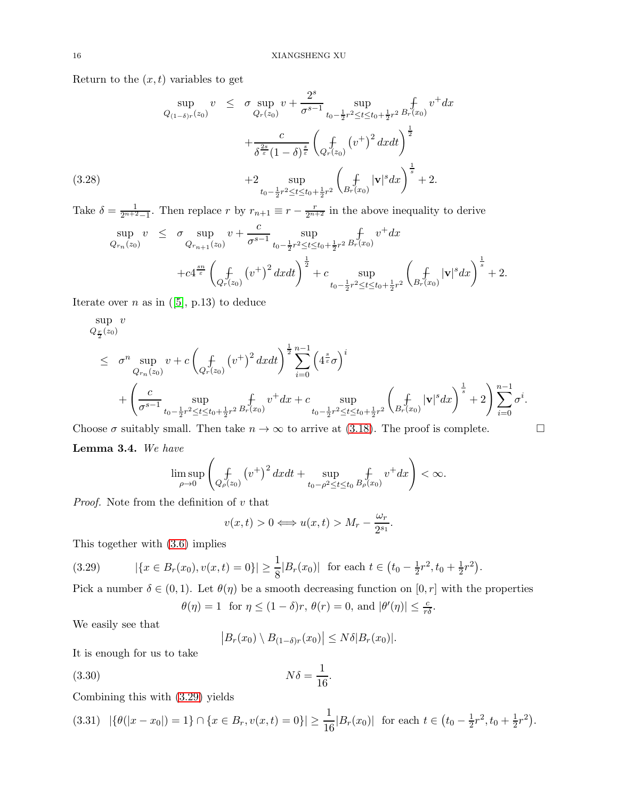Return to the  $(x, t)$  variables to get

$$
\sup_{Q_{(1-\delta)r}(z_0)} v \leq \sigma \sup_{Q_r(z_0)} v + \frac{2^s}{\sigma^{s-1}} \sup_{t_0 - \frac{1}{2}r^2 \leq t \leq t_0 + \frac{1}{2}r^2} \oint_r v^+ dx + \frac{c}{\delta^{\frac{2s}{\varepsilon}} (1-\delta)^{\frac{s}{\varepsilon}}} \left( \oint_{Q_r(z_0)} (v^+)^2 dx dt \right)^{\frac{1}{2}} + 2 \sup_{t_0 - \frac{1}{2}r^2 \leq t \leq t_0 + \frac{1}{2}r^2} \left( \oint_{B_r(x_0)} |\mathbf{v}|^s dx \right)^{\frac{1}{s}} + 2.
$$

Take  $\delta = \frac{1}{2^{n+2}-1}$ . Then replace r by  $r_{n+1} \equiv r - \frac{r}{2^{n+2}}$  in the above inequality to derive

$$
\sup_{Q_{r_n}(z_0)} v \leq \sigma \sup_{Q_{r_{n+1}}(z_0)} v + \frac{c}{\sigma^{s-1}} \sup_{t_0 - \frac{1}{2}r^2 \leq t \leq t_0 + \frac{1}{2}r^2} \oint_r v^+ dx + c4^{\frac{s_n}{\varepsilon}} \left( \oint_{Q_r(z_0)} (v^+)^2 dx dt \right)^{\frac{1}{2}} + c \sup_{t_0 - \frac{1}{2}r^2 \leq t \leq t_0 + \frac{1}{2}r^2} \left( \oint_{B_r(x_0)} |\mathbf{v}|^s dx \right)^{\frac{1}{s}} + 2.
$$

Iterate over *n* as in  $([5], p.13)$  $([5], p.13)$  $([5], p.13)$  to deduce

$$
\sup_{Q_{\tilde{Y}}(z_0)} v
$$
\n
$$
\leq \sigma^n \sup_{Q_{r_n}(z_0)} v + c \left( \int_{Q_r(z_0)} (v^+)^2 dx dt \right)^{\frac{1}{2}} \sum_{i=0}^{n-1} \left( 4^{\frac{s}{\varepsilon}} \sigma \right)^i
$$
\n
$$
+ \left( \frac{c}{\sigma^{s-1}} \sup_{t_0 - \frac{1}{2}r^2 \leq t \leq t_0 + \frac{1}{2}r^2} f(v^+ dx + c \sup_{t_0 - \frac{1}{2}r^2 \leq t \leq t_0 + \frac{1}{2}r^2} \left( \int_{B_r(x_0)} |v|^s dx \right)^{\frac{1}{s}} + 2 \right) \sum_{i=0}^{n-1} \sigma^i.
$$

Choose  $\sigma$  suitably small. Then take  $n \to \infty$  to arrive at [\(3.18\)](#page-11-3). The proof is complete.

<span id="page-15-2"></span>Lemma 3.4. *We have*

$$
\limsup_{\rho \to 0} \left( \oint_{Q_{\rho}(z_0)} \left( v^+ \right)^2 dx dt + \sup_{t_0 - \rho^2 \le t \le t_0} \oint_{\rho(x_0)} v^+ dx \right) < \infty.
$$

*Proof.* Note from the definition of v that

$$
v(x,t) > 0 \Longleftrightarrow u(x,t) > M_r - \frac{\omega_r}{2^{s_1}}
$$

.

This together with [\(3.6\)](#page-8-2) implies

$$
(3.29) \qquad |\{x \in B_r(x_0), v(x,t) = 0\}| \ge \frac{1}{8}|B_r(x_0)| \text{ for each } t \in (t_0 - \frac{1}{2}r^2, t_0 + \frac{1}{2}r^2).
$$

Pick a number  $\delta \in (0,1)$ . Let  $\theta(\eta)$  be a smooth decreasing function on  $[0,r]$  with the properties

<span id="page-15-0"></span>
$$
\theta(\eta) = 1
$$
 for  $\eta \le (1 - \delta)r$ ,  $\theta(r) = 0$ , and  $|\theta'(\eta)| \le \frac{c}{r\delta}$ .

We easily see that

<span id="page-15-1"></span>
$$
\left|B_r(x_0)\setminus B_{(1-\delta)r}(x_0)\right|\leq N\delta|B_r(x_0)|.
$$

It is enough for us to take

$$
(3.30)\t\t N\delta = \frac{1}{16}.
$$

Combining this with [\(3.29\)](#page-15-0) yields

$$
(3.31) \quad |\{\theta(|x-x_0|)=1\} \cap \{x \in B_r, v(x,t)=0\}| \ge \frac{1}{16}|B_r(x_0)| \text{ for each } t \in (t_0 - \frac{1}{2}r^2, t_0 + \frac{1}{2}r^2).
$$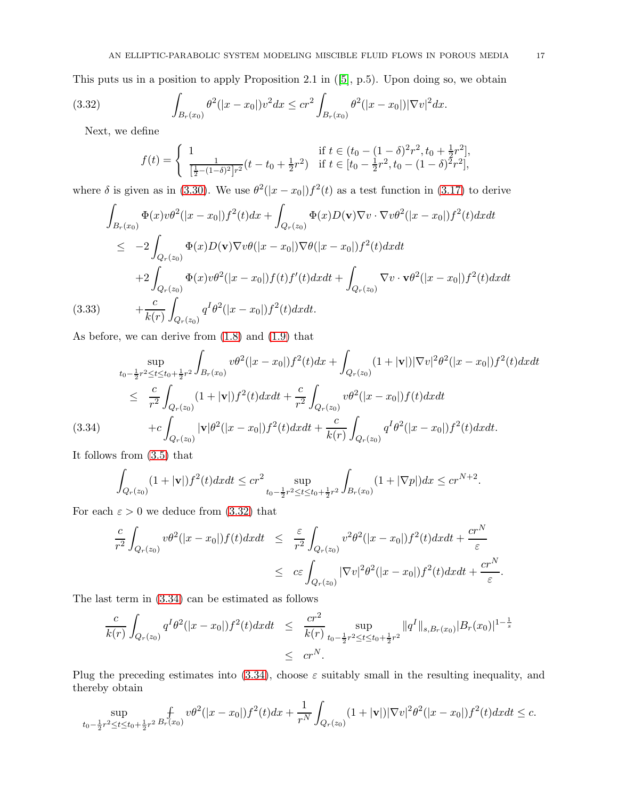This puts us in a position to apply Proposition 2.1 in ([\[5\]](#page-20-17), p.5). Upon doing so, we obtain

(3.32) 
$$
\int_{B_r(x_0)} \theta^2(|x-x_0|)v^2 dx \leq cr^2 \int_{B_r(x_0)} \theta^2(|x-x_0|) |\nabla v|^2 dx.
$$

Next, we define

<span id="page-16-0"></span>
$$
f(t) = \begin{cases} \n\frac{1}{[\frac{1}{2} - (1 - \delta)^2]r^2} (t - t_0 + \frac{1}{2}r^2) & \text{if } t \in [t_0 - \frac{1}{2}r^2, t_0 - (1 - \delta)^2 r^2], \\ \n\frac{1}{[\frac{1}{2} - (1 - \delta)^2]r^2} (t - t_0 + \frac{1}{2}r^2) & \text{if } t \in [t_0 - \frac{1}{2}r^2, t_0 - (1 - \delta)^2 r^2], \n\end{cases}
$$

where  $\delta$  is given as in [\(3.30\)](#page-15-1). We use  $\theta^2(|x-x_0|)f^2(t)$  as a test function in [\(3.17\)](#page-11-1) to derive

$$
\int_{B_r(x_0)} \Phi(x)v\theta^2(|x-x_0|)f^2(t)dx + \int_{Q_r(z_0)} \Phi(x)D(\mathbf{v})\nabla v \cdot \nabla v\theta^2(|x-x_0|)f^2(t)dxdt
$$
\n
$$
\leq -2\int_{Q_r(z_0)} \Phi(x)D(\mathbf{v})\nabla v\theta(|x-x_0|)\nabla\theta(|x-x_0|)f^2(t)dxdt
$$
\n
$$
+2\int_{Q_r(z_0)} \Phi(x)v\theta^2(|x-x_0|)f(t)f'(t)dxdt + \int_{Q_r(z_0)} \nabla v \cdot \mathbf{v}\theta^2(|x-x_0|)f^2(t)dxdt
$$
\n(3.33) 
$$
+\frac{c}{k(r)}\int_{Q_r(z_0)} q^I\theta^2(|x-x_0|)f^2(t)dxdt.
$$

As before, we can derive from [\(1.8\)](#page-1-2) and [\(1.9\)](#page-1-1) that

<span id="page-16-1"></span>
$$
\sup_{t_0 - \frac{1}{2}r^2 \le t \le t_0 + \frac{1}{2}r^2} \int_{B_r(x_0)} v\theta^2(|x - x_0|)f^2(t)dx + \int_{Q_r(z_0)} (1 + |\mathbf{v}|)|\nabla v|^2 \theta^2(|x - x_0|)f^2(t)dxdt
$$
  
\n
$$
\leq \frac{c}{r^2} \int_{Q_r(z_0)} (1 + |\mathbf{v}|)f^2(t)dxdt + \frac{c}{r^2} \int_{Q_r(z_0)} v\theta^2(|x - x_0|)f(t)dxdt
$$
  
\n(3.34) 
$$
+ c \int_{Q_r(z_0)} |\mathbf{v}|\theta^2(|x - x_0|)f^2(t)dxdt + \frac{c}{k(r)} \int_{Q_r(z_0)} q^I\theta^2(|x - x_0|)f^2(t)dxdt.
$$

It follows from [\(3.5\)](#page-8-1) that

$$
\int_{Q_r(z_0)} (1+|\mathbf{v}|) f^2(t) dx dt \leq c r^2 \sup_{t_0-\frac{1}{2}r^2 \leq t \leq t_0+\frac{1}{2}r^2} \int_{B_r(x_0)} (1+|\nabla p|) dx \leq c r^{N+2}.
$$

For each  $\varepsilon > 0$  we deduce from [\(3.32\)](#page-16-0) that

$$
\frac{c}{r^2} \int_{Q_r(z_0)} v \theta^2(|x-x_0|) f(t) dx dt \leq \frac{\varepsilon}{r^2} \int_{Q_r(z_0)} v^2 \theta^2(|x-x_0|) f^2(t) dx dt + \frac{cr^N}{\varepsilon}
$$
\n
$$
\leq c\varepsilon \int_{Q_r(z_0)} |\nabla v|^2 \theta^2(|x-x_0|) f^2(t) dx dt + \frac{cr^N}{\varepsilon}.
$$

The last term in [\(3.34\)](#page-16-1) can be estimated as follows

$$
\frac{c}{k(r)} \int_{Q_r(z_0)} q^I \theta^2 (|x - x_0|) f^2(t) dx dt \leq \frac{cr^2}{k(r)} \sup_{t_0 = \frac{1}{2}r^2 \leq t \leq t_0 + \frac{1}{2}r^2} ||q^I||_{s, B_r(x_0)} |B_r(x_0)|^{1 - \frac{1}{s}}
$$
  

$$
\leq cr^N.
$$

Plug the preceding estimates into [\(3.34\)](#page-16-1), choose  $\varepsilon$  suitably small in the resulting inequality, and thereby obtain

$$
\sup_{t_0-\frac{1}{2}r^2 \le t \le t_0+\frac{1}{2}r^2} \int_{F(x_0)} v \theta^2(|x-x_0|) f^2(t) dx + \frac{1}{r^N} \int_{Q_r(z_0)} (1+|\mathbf{v}|) |\nabla v|^2 \theta^2(|x-x_0|) f^2(t) dx dt \le c.
$$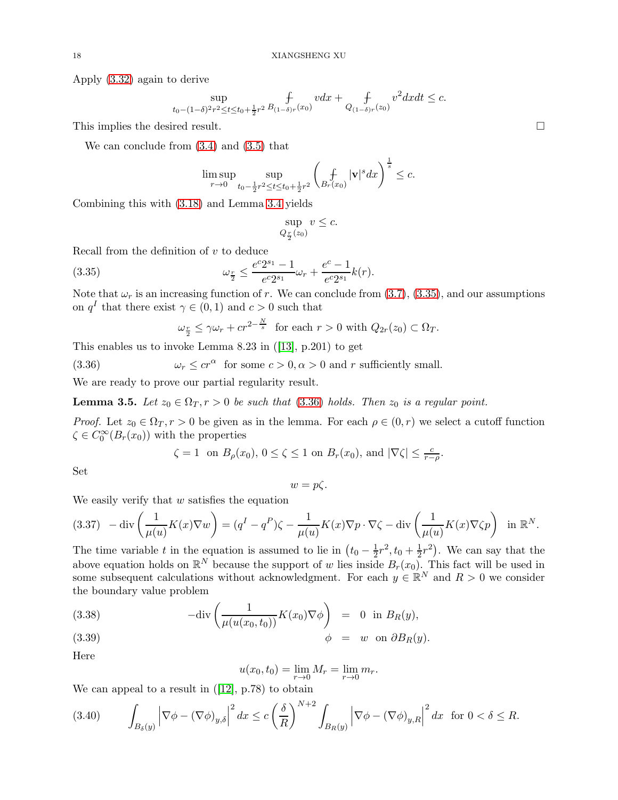Apply [\(3.32\)](#page-16-0) again to derive

$$
\sup_{t_0 - (1 - \delta)^2 r^2 \le t \le t_0 + \frac{1}{2} r^2} \mathop{f}_{(1 - \delta)r}(x_0) v dx + \mathop{f}_{Q_{(1 - \delta)r}(z_0)} v^2 dx dt \le c.
$$

This implies the desired result.

We can conclude from [\(3.4\)](#page-8-5) and [\(3.5\)](#page-8-1) that

$$
\limsup_{r\to 0}\sup_{t_0-\frac{1}{2}r^2\leq t\leq t_0+\frac{1}{2}r^2}\left(\mathop{\rm l}_{B_r(x_0)}|\mathbf{v}|^s dx\right)^{\frac{1}{s}}\leq c.
$$

Combining this with [\(3.18\)](#page-11-3) and Lemma [3.4](#page-15-2) yields

$$
\sup_{Q_{\frac{r}{2}}(z_0)} v \leq c.
$$

Recall from the definition of  $v$  to deduce

(3.35) 
$$
\omega_{\frac{r}{2}} \leq \frac{e^c 2^{s_1} - 1}{e^c 2^{s_1}} \omega_r + \frac{e^c - 1}{e^c 2^{s_1}} k(r).
$$

Note that  $\omega_r$  is an increasing function of r. We can conclude from [\(3.7\)](#page-8-3), [\(3.35\)](#page-17-0), and our assumptions on  $q<sup>I</sup>$  that there exist  $\gamma \in (0,1)$  and  $c > 0$  such that

<span id="page-17-1"></span><span id="page-17-0"></span>
$$
\omega_{\frac{r}{2}} \le \gamma \omega_r + cr^{2-\frac{N}{s}} \text{ for each } r > 0 \text{ with } Q_{2r}(z_0) \subset \Omega_T.
$$

This enables us to invoke Lemma 8.23 in ([\[13\]](#page-20-11), p.201) to get

(3.36)  $\omega_r \le cr^\alpha$  for some  $c > 0, \alpha > 0$  and r sufficiently small.

We are ready to prove our partial regularity result.

**Lemma 3.5.** *Let*  $z_0 \in \Omega_T$ ,  $r > 0$  *be such that* [\(3.36\)](#page-17-1) *holds. Then*  $z_0$  *is a regular point.* 

*Proof.* Let  $z_0 \in \Omega_T$ ,  $r > 0$  be given as in the lemma. For each  $\rho \in (0, r)$  we select a cutoff function  $\zeta \in C_0^{\infty}(B_r(x_0))$  with the properties

$$
\zeta = 1
$$
 on  $B_{\rho}(x_0), 0 \le \zeta \le 1$  on  $B_r(x_0)$ , and  $|\nabla \zeta| \le \frac{c}{r-\rho}$ .

Set

$$
w = p\zeta.
$$

We easily verify that  $w$  satisfies the equation

<span id="page-17-2"></span>
$$
(3.37) \quad -\operatorname{div}\left(\frac{1}{\mu(u)}K(x)\nabla w\right) = (q^I - q^P)\zeta - \frac{1}{\mu(u)}K(x)\nabla p \cdot \nabla \zeta - \operatorname{div}\left(\frac{1}{\mu(u)}K(x)\nabla \zeta p\right) \quad \text{in } \mathbb{R}^N.
$$

The time variable t in the equation is assumed to lie in  $(t_0 - \frac{1}{2}r^2, t_0 + \frac{1}{2}r^2)$ . We can say that the above equation holds on  $\mathbb{R}^N$  because the support of w lies inside  $B_r(x_0)$ . This fact will be used in some subsequent calculations without acknowledgment. For each  $y \in \mathbb{R}^N$  and  $R > 0$  we consider the boundary value problem

(3.38) 
$$
-\text{div}\left(\frac{1}{\mu(u(x_0, t_0))}K(x_0)\nabla\phi\right) = 0 \text{ in } B_R(y),
$$
  
(3.39) 
$$
\phi = w \text{ on } \partial B_R(y).
$$

$$
\frac{1}{11}
$$

Here

<span id="page-17-3"></span>
$$
u(x_0, t_0) = \lim_{r \to 0} M_r = \lim_{r \to 0} m_r.
$$

We can appeal to a result in  $([12], p.78)$  $([12], p.78)$  $([12], p.78)$  to obtain

<span id="page-17-4"></span>
$$
(3.40) \qquad \int_{B_{\delta}(y)} \left|\nabla \phi - (\nabla \phi)_{y,\delta}\right|^2 dx \le c \left(\frac{\delta}{R}\right)^{N+2} \int_{B_R(y)} \left|\nabla \phi - (\nabla \phi)_{y,R}\right|^2 dx \text{ for } 0 < \delta \le R.
$$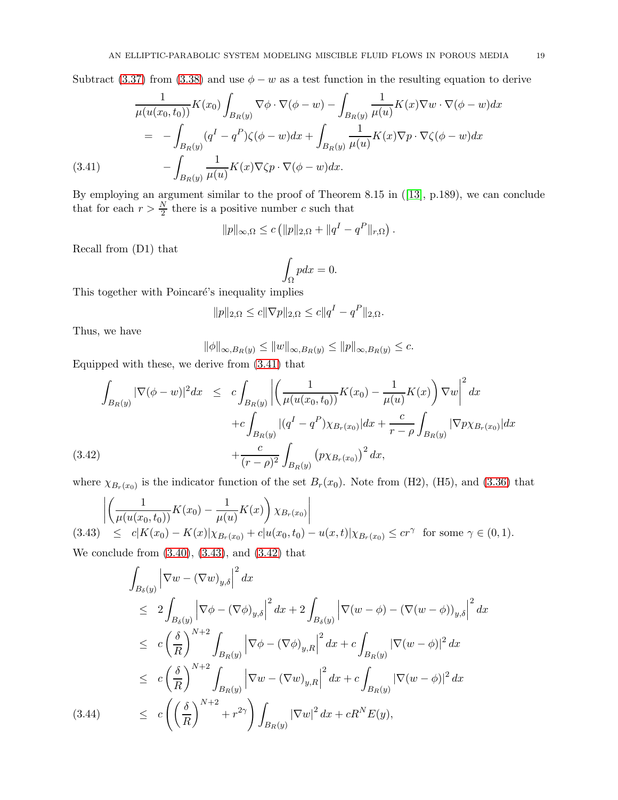Subtract [\(3.37\)](#page-17-2) from [\(3.38\)](#page-17-3) and use  $\phi - w$  as a test function in the resulting equation to derive

<span id="page-18-0"></span>
$$
\frac{1}{\mu(u(x_0, t_0))} K(x_0) \int_{B_R(y)} \nabla \phi \cdot \nabla (\phi - w) - \int_{B_R(y)} \frac{1}{\mu(u)} K(x) \nabla w \cdot \nabla (\phi - w) dx
$$

$$
= - \int_{B_R(y)} (q^I - q^P) \zeta(\phi - w) dx + \int_{B_R(y)} \frac{1}{\mu(u)} K(x) \nabla p \cdot \nabla \zeta(\phi - w) dx
$$

$$
(3.41) \qquad - \int_{B_R(y)} \frac{1}{\mu(u)} K(x) \nabla \zeta p \cdot \nabla (\phi - w) dx.
$$

By employing an argument similar to the proof of Theorem 8.15 in ([\[13\]](#page-20-11), p.189), we can conclude that for each  $r > \frac{N}{2}$  there is a positive number c such that

$$
||p||_{\infty,\Omega} \le c (||p||_{2,\Omega} + ||q^I - q^P||_{r,\Omega})
$$

.

Recall from (D1) that

$$
\int_{\Omega} p dx = 0.
$$

This together with Poincaré's inequality implies

$$
||p||_{2,\Omega} \le c||\nabla p||_{2,\Omega} \le c||q^I - q^P||_{2,\Omega}.
$$

Thus, we have

$$
\|\phi\|_{\infty,B_R(y)} \le \|w\|_{\infty,B_R(y)} \le \|p\|_{\infty,B_R(y)} \le c.
$$

Equipped with these, we derive from [\(3.41\)](#page-18-0) that

<span id="page-18-2"></span>
$$
\int_{B_R(y)} |\nabla(\phi - w)|^2 dx \leq c \int_{B_R(y)} \left| \left( \frac{1}{\mu(u(x_0, t_0))} K(x_0) - \frac{1}{\mu(u)} K(x) \right) \nabla w \right|^2 dx
$$
  
+ 
$$
+ c \int_{B_R(y)} |(q^I - q^P) \chi_{B_r(x_0)}| dx + \frac{c}{r - \rho} \int_{B_R(y)} |\nabla p \chi_{B_r(x_0)}| dx
$$
  
(3.42) 
$$
+ \frac{c}{(r - \rho)^2} \int_{B_R(y)} (p \chi_{B_r(x_0)})^2 dx,
$$

where  $\chi_{B_r(x_0)}$  is the indicator function of the set  $B_r(x_0)$ . Note from (H2), (H5), and [\(3.36\)](#page-17-1) that

<span id="page-18-1"></span>
$$
\left| \left( \frac{1}{\mu(u(x_0, t_0))} K(x_0) - \frac{1}{\mu(u)} K(x) \right) \chi_{B_r(x_0)} \right|
$$
\n(3.43)  $\leq c |K(x_0) - K(x)| \chi_{B_r(x_0)} + c |u(x_0, t_0) - u(x, t)| \chi_{B_r(x_0)} \leq c r^{\gamma}$  for some  $\gamma \in (0, 1)$ .  
\nWe conclude from (3.40), (3.43), and (3.42), that

We conclude from [\(3.40\)](#page-17-4), [\(3.43\)](#page-18-1), and [\(3.42\)](#page-18-2) that

<span id="page-18-3"></span>
$$
\int_{B_{\delta}(y)} \left| \nabla w - (\nabla w)_{y,\delta} \right|^2 dx
$$
\n
$$
\leq 2 \int_{B_{\delta}(y)} \left| \nabla \phi - (\nabla \phi)_{y,\delta} \right|^2 dx + 2 \int_{B_{\delta}(y)} \left| \nabla (w - \phi) - (\nabla (w - \phi))_{y,\delta} \right|^2 dx
$$
\n
$$
\leq c \left( \frac{\delta}{R} \right)^{N+2} \int_{B_R(y)} \left| \nabla \phi - (\nabla \phi)_{y,R} \right|^2 dx + c \int_{B_R(y)} |\nabla (w - \phi)|^2 dx
$$
\n
$$
\leq c \left( \frac{\delta}{R} \right)^{N+2} \int_{B_R(y)} \left| \nabla w - (\nabla w)_{y,R} \right|^2 dx + c \int_{B_R(y)} |\nabla (w - \phi)|^2 dx
$$
\n(3.44) 
$$
\leq c \left( \left( \frac{\delta}{R} \right)^{N+2} + r^{2\gamma} \right) \int_{B_R(y)} |\nabla w|^2 dx + cR^N E(y),
$$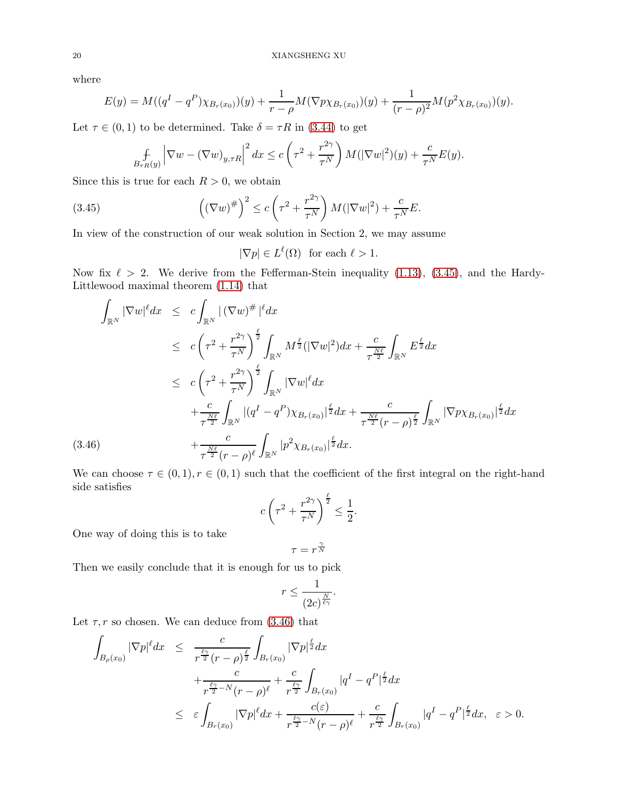where

$$
E(y) = M((qI - qP)\chi_{B_r(x_0)})(y) + \frac{1}{r - \rho}M(\nabla p \chi_{B_r(x_0)})(y) + \frac{1}{(r - \rho)^2}M(p^2 \chi_{B_r(x_0)})(y).
$$

Let  $\tau \in (0,1)$  to be determined. Take  $\delta = \tau R$  in [\(3.44\)](#page-18-3) to get

$$
\int_{B_{\tau R}(y)} \left| \nabla w - (\nabla w)_{y,\tau R} \right|^2 dx \le c \left( \tau^2 + \frac{r^{2\gamma}}{\tau^N} \right) M(|\nabla w|^2)(y) + \frac{c}{\tau^N} E(y).
$$

Since this is true for each  $R > 0$ , we obtain

(3.45) 
$$
\left( (\nabla w)^{\#} \right)^2 \leq c \left( \tau^2 + \frac{r^{2\gamma}}{\tau^N} \right) M(|\nabla w|^2) + \frac{c}{\tau^N} E.
$$

In view of the construction of our weak solution in Section 2, we may assume

<span id="page-19-0"></span>
$$
|\nabla p| \in L^{\ell}(\Omega) \text{ for each } \ell > 1.
$$

Now fix  $\ell > 2$ . We derive from the Fefferman-Stein inequality [\(1.13\)](#page-2-2), [\(3.45\)](#page-19-0), and the Hardy-Littlewood maximal theorem [\(1.14\)](#page-2-3) that

<span id="page-19-1"></span>
$$
\int_{\mathbb{R}^N} |\nabla w|^{\ell} dx \leq c \int_{\mathbb{R}^N} |(\nabla w)^{\#}|^{\ell} dx
$$
\n
$$
\leq c \left( \tau^2 + \frac{r^{2\gamma}}{\tau^N} \right)^{\frac{\ell}{2}} \int_{\mathbb{R}^N} M^{\frac{\ell}{2}} (|\nabla w|^2) dx + \frac{c}{\tau^{\frac{N\ell}{2}}} \int_{\mathbb{R}^N} E^{\frac{\ell}{2}} dx
$$
\n
$$
\leq c \left( \tau^2 + \frac{r^{2\gamma}}{\tau^N} \right)^{\frac{\ell}{2}} \int_{\mathbb{R}^N} |\nabla w|^{\ell} dx
$$
\n
$$
+ \frac{c}{\tau^{\frac{N\ell}{2}}} \int_{\mathbb{R}^N} |(q^I - q^P) \chi_{B_r(x_0)}|^{\frac{\ell}{2}} dx + \frac{c}{\tau^{\frac{N\ell}{2}} (r - \rho)^{\frac{\ell}{2}}} \int_{\mathbb{R}^N} |\nabla p \chi_{B_r(x_0)}|^{\frac{\ell}{2}} dx
$$
\n(3.46)\n
$$
+ \frac{c}{\tau^{\frac{N\ell}{2}} (r - \rho)^{\ell}} \int_{\mathbb{R}^N} |p^2 \chi_{B_r(x_0)}|^{\frac{\ell}{2}} dx.
$$

We can choose  $\tau \in (0,1), r \in (0,1)$  such that the coefficient of the first integral on the right-hand side satisfies

$$
c\left(\tau^2 + \frac{r^{2\gamma}}{\tau^N}\right)^{\frac{\ell}{2}} \le \frac{1}{2}.
$$

One way of doing this is to take

$$
\tau = r^{\frac{\gamma}{N}}
$$

Then we easily conclude that it is enough for us to pick

$$
r \le \frac{1}{(2c)^{\frac{N}{\ell\gamma}}}.
$$

Let  $\tau$ , r so chosen. We can deduce from [\(3.46\)](#page-19-1) that

$$
\int_{B_{\rho}(x_0)} |\nabla p|^{\ell} dx \leq \frac{c}{r^{\frac{\ell\gamma}{2}}(r-\rho)^{\frac{\ell}{2}}} \int_{B_{r}(x_0)} |\nabla p|^{\frac{\ell}{2}} dx \n+ \frac{c}{r^{\frac{\ell\gamma}{2}-N}(r-\rho)^{\ell}} + \frac{c}{r^{\frac{\ell\gamma}{2}}} \int_{B_{r}(x_0)} |q^I - q^P|^{\frac{\ell}{2}} dx \n\leq \varepsilon \int_{B_{r}(x_0)} |\nabla p|^{\ell} dx + \frac{c(\varepsilon)}{r^{\frac{\ell\gamma}{2}-N}(r-\rho)^{\ell}} + \frac{c}{r^{\frac{\ell\gamma}{2}}} \int_{B_{r}(x_0)} |q^I - q^P|^{\frac{\ell}{2}} dx, \quad \varepsilon > 0.
$$